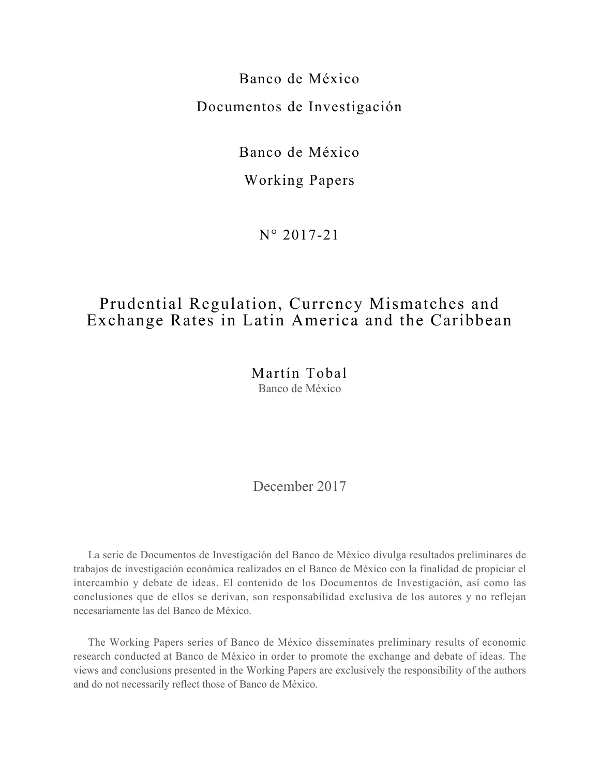Banco de México Documentos de Investigación

Banco de México

Working Papers

N° 2017-21

# Prudential Regulation, Currency Mismatches and Exchange Rates in Latin America and the Caribbean

Martín Tobal Banco de México

December 2017

La serie de Documentos de Investigación del Banco de México divulga resultados preliminares de trabajos de investigación económica realizados en el Banco de México con la finalidad de propiciar el intercambio y debate de ideas. El contenido de los Documentos de Investigación, así como las conclusiones que de ellos se derivan, son responsabilidad exclusiva de los autores y no reflejan necesariamente las del Banco de México.

The Working Papers series of Banco de México disseminates preliminary results of economic research conducted at Banco de México in order to promote the exchange and debate of ideas. The views and conclusions presented in the Working Papers are exclusively the responsibility of the authors and do not necessarily reflect those of Banco de México.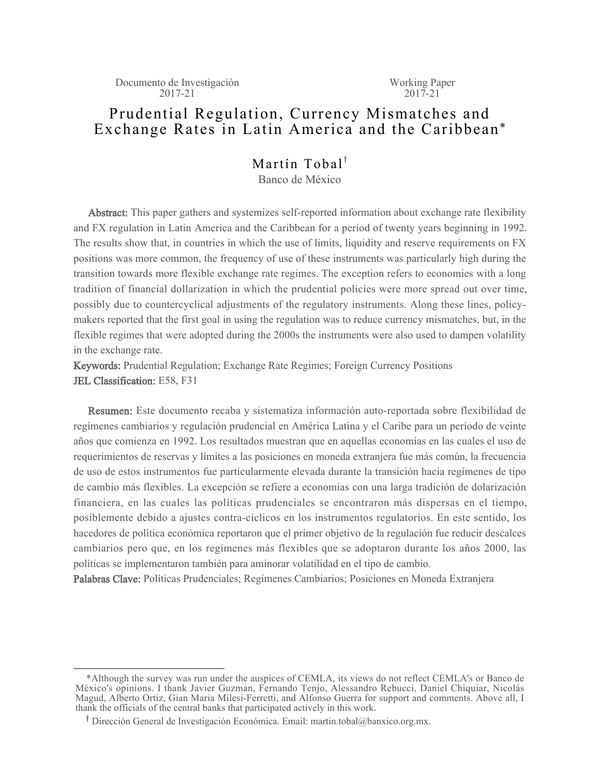Documento de Investigación 2017-21

Working Paper  $2017 - 21$ 

## Prudential Regulation, Currency Mismatches and Exchange Rates in Latin America and the Caribbean\*

## Martín Tobal<sup>†</sup> Banco de México

Abstract: This paper gathers and systemizes self-reported information about exchange rate flexibility and FX regulation in Latin America and the Caribbean for a period of twenty years beginning in 1992. The results show that, in countries in which the use of limits, liquidity and reserve requirements on FX positions was more common, the frequency of use of these instruments was particularly high during the transition towards more flexible exchange rate regimes. The exception refers to economies with a long tradition of financial dollarization in which the prudential policies were more spread out over time, possibly due to countercyclical adjustments of the regulatory instruments. Along these lines, policymakers reported that the first goal in using the regulation was to reduce currency mismatches, but, in the flexible regimes that were adopted during the 2000s the instruments were also used to dampen volatility in the exchange rate.

Keywords: Prudential Regulation; Exchange Rate Regimes; Foreign Currency Positions JEL Classification: E58, F31

Resumen: Este documento recaba y sistematiza información auto-reportada sobre flexibilidad de regímenes cambiarios y regulación prudencial en América Latina y el Caribe para un período de veinte años que comienza en 1992. Los resultados muestran que en aquellas economías en las cuales el uso de requerimientos de reservas y límites a las posiciones en moneda extranjera fue más común, la frecuencia de uso de estos instrumentos fue particularmente elevada durante la transición hacia regímenes de tipo de cambio más flexibles. La excepción se refiere a economías con una larga tradición de dolarización financiera, en las cuales las políticas prudenciales se encontraron más dispersas en el tiempo, posiblemente debido a ajustes contra-cíclicos en los instrumentos regulatorios. En este sentido, los hacedores de política económica reportaron que el primer objetivo de la regulación fue reducir descalces cambiarios pero que, en los regímenes más flexibles que se adoptaron durante los años 2000, las políticas se implementaron también para aminorar volatilidad en el tipo de cambio.

Palabras Clave: Políticas Prudenciales; Regímenes Cambiarios; Posiciones en Moneda Extranjera

 <sup>\*</sup>Although the survey was run under the auspices of CEMLA, its views do not reflect CEMLA's or Banco de México's opinions. I thank Javier Guzman, Fernando Tenjo, Alessandro Rebucci, Daniel Chiquiar, Nicolás Magud, Alberto Ortiz, Gian Maria Milesi-Ferretti, and Alfonso Guerra for support and comments. Above all, I thank the officials of the central banks that participated actively in this work.

<sup>&</sup>lt;sup>†</sup> Dirección General de Investigación Económica. Email: martin.tobal@banxico.org.mx.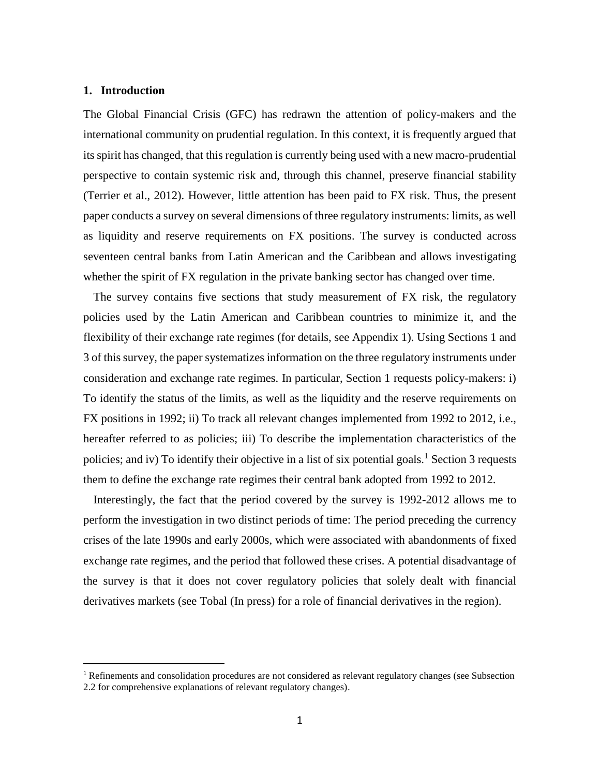#### **1. Introduction**

 $\overline{a}$ 

The Global Financial Crisis (GFC) has redrawn the attention of policy-makers and the international community on prudential regulation. In this context, it is frequently argued that its spirit has changed, that this regulation is currently being used with a new macro-prudential perspective to contain systemic risk and, through this channel, preserve financial stability (Terrier et al., 2012). However, little attention has been paid to FX risk. Thus, the present paper conducts a survey on several dimensions of three regulatory instruments: limits, as well as liquidity and reserve requirements on FX positions. The survey is conducted across seventeen central banks from Latin American and the Caribbean and allows investigating whether the spirit of FX regulation in the private banking sector has changed over time.

The survey contains five sections that study measurement of FX risk, the regulatory policies used by the Latin American and Caribbean countries to minimize it, and the flexibility of their exchange rate regimes (for details, see Appendix 1). Using Sections 1 and 3 of this survey, the paper systematizes information on the three regulatory instruments under consideration and exchange rate regimes. In particular, Section 1 requests policy-makers: i) To identify the status of the limits, as well as the liquidity and the reserve requirements on FX positions in 1992; ii) To track all relevant changes implemented from 1992 to 2012, i.e., hereafter referred to as policies; iii) To describe the implementation characteristics of the policies; and iv) To identify their objective in a list of six potential goals.<sup>1</sup> Section 3 requests them to define the exchange rate regimes their central bank adopted from 1992 to 2012.

Interestingly, the fact that the period covered by the survey is 1992-2012 allows me to perform the investigation in two distinct periods of time: The period preceding the currency crises of the late 1990s and early 2000s, which were associated with abandonments of fixed exchange rate regimes, and the period that followed these crises. A potential disadvantage of the survey is that it does not cover regulatory policies that solely dealt with financial derivatives markets (see Tobal (In press) for a role of financial derivatives in the region).

<sup>&</sup>lt;sup>1</sup> Refinements and consolidation procedures are not considered as relevant regulatory changes (see Subsection 2.2 for comprehensive explanations of relevant regulatory changes).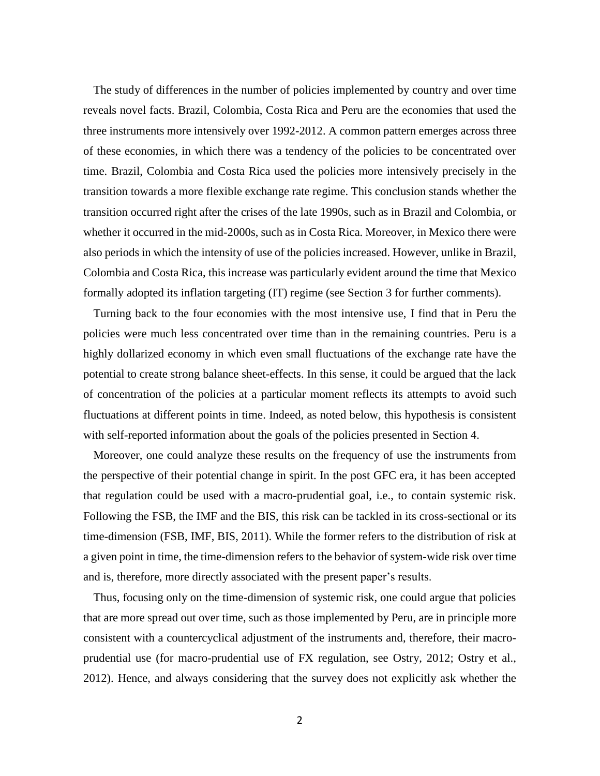The study of differences in the number of policies implemented by country and over time reveals novel facts. Brazil, Colombia, Costa Rica and Peru are the economies that used the three instruments more intensively over 1992-2012. A common pattern emerges across three of these economies, in which there was a tendency of the policies to be concentrated over time. Brazil, Colombia and Costa Rica used the policies more intensively precisely in the transition towards a more flexible exchange rate regime. This conclusion stands whether the transition occurred right after the crises of the late 1990s, such as in Brazil and Colombia, or whether it occurred in the mid-2000s, such as in Costa Rica. Moreover, in Mexico there were also periods in which the intensity of use of the policies increased. However, unlike in Brazil, Colombia and Costa Rica, this increase was particularly evident around the time that Mexico formally adopted its inflation targeting (IT) regime (see Section 3 for further comments).

Turning back to the four economies with the most intensive use, I find that in Peru the policies were much less concentrated over time than in the remaining countries. Peru is a highly dollarized economy in which even small fluctuations of the exchange rate have the potential to create strong balance sheet-effects. In this sense, it could be argued that the lack of concentration of the policies at a particular moment reflects its attempts to avoid such fluctuations at different points in time. Indeed, as noted below, this hypothesis is consistent with self-reported information about the goals of the policies presented in Section 4.

Moreover, one could analyze these results on the frequency of use the instruments from the perspective of their potential change in spirit. In the post GFC era, it has been accepted that regulation could be used with a macro-prudential goal, i.e., to contain systemic risk. Following the FSB, the IMF and the BIS, this risk can be tackled in its cross-sectional or its time-dimension (FSB, IMF, BIS, 2011). While the former refers to the distribution of risk at a given point in time, the time-dimension refers to the behavior of system-wide risk over time and is, therefore, more directly associated with the present paper's results.

Thus, focusing only on the time-dimension of systemic risk, one could argue that policies that are more spread out over time, such as those implemented by Peru, are in principle more consistent with a countercyclical adjustment of the instruments and, therefore, their macroprudential use (for macro-prudential use of FX regulation, see Ostry, 2012; Ostry et al., 2012). Hence, and always considering that the survey does not explicitly ask whether the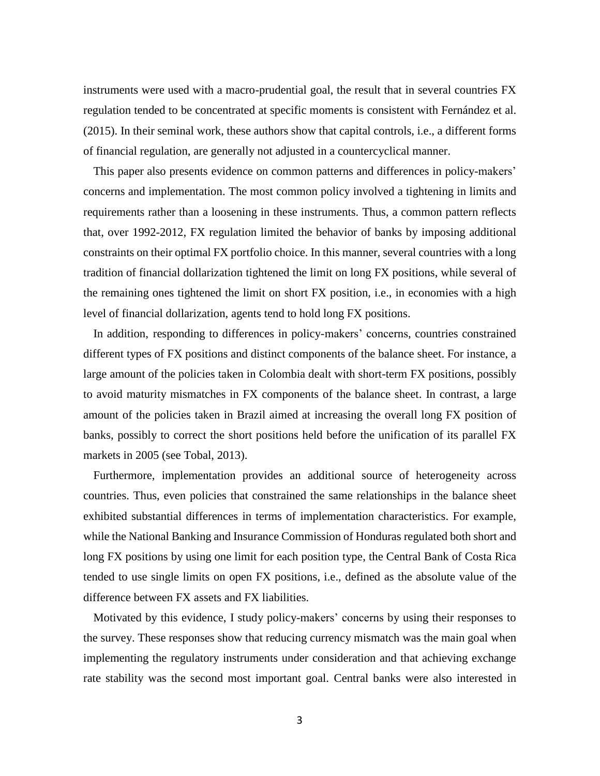instruments were used with a macro-prudential goal, the result that in several countries FX regulation tended to be concentrated at specific moments is consistent with Fernández et al. (2015). In their seminal work, these authors show that capital controls, i.e., a different forms of financial regulation, are generally not adjusted in a countercyclical manner.

This paper also presents evidence on common patterns and differences in policy-makers' concerns and implementation. The most common policy involved a tightening in limits and requirements rather than a loosening in these instruments. Thus, a common pattern reflects that, over 1992-2012, FX regulation limited the behavior of banks by imposing additional constraints on their optimal FX portfolio choice. In this manner, several countries with a long tradition of financial dollarization tightened the limit on long FX positions, while several of the remaining ones tightened the limit on short FX position, i.e., in economies with a high level of financial dollarization, agents tend to hold long FX positions.

In addition, responding to differences in policy-makers' concerns, countries constrained different types of FX positions and distinct components of the balance sheet. For instance, a large amount of the policies taken in Colombia dealt with short-term FX positions, possibly to avoid maturity mismatches in FX components of the balance sheet. In contrast, a large amount of the policies taken in Brazil aimed at increasing the overall long FX position of banks, possibly to correct the short positions held before the unification of its parallel FX markets in 2005 (see Tobal, 2013).

Furthermore, implementation provides an additional source of heterogeneity across countries. Thus, even policies that constrained the same relationships in the balance sheet exhibited substantial differences in terms of implementation characteristics. For example, while the National Banking and Insurance Commission of Honduras regulated both short and long FX positions by using one limit for each position type, the Central Bank of Costa Rica tended to use single limits on open FX positions, i.e., defined as the absolute value of the difference between FX assets and FX liabilities.

Motivated by this evidence, I study policy-makers' concerns by using their responses to the survey. These responses show that reducing currency mismatch was the main goal when implementing the regulatory instruments under consideration and that achieving exchange rate stability was the second most important goal. Central banks were also interested in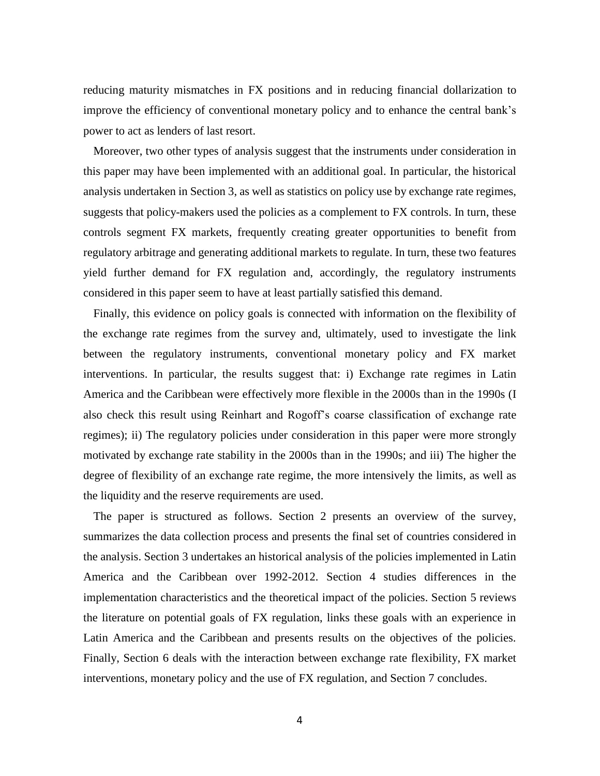reducing maturity mismatches in FX positions and in reducing financial dollarization to improve the efficiency of conventional monetary policy and to enhance the central bank's power to act as lenders of last resort.

Moreover, two other types of analysis suggest that the instruments under consideration in this paper may have been implemented with an additional goal. In particular, the historical analysis undertaken in Section 3, as well as statistics on policy use by exchange rate regimes, suggests that policy-makers used the policies as a complement to FX controls. In turn, these controls segment FX markets, frequently creating greater opportunities to benefit from regulatory arbitrage and generating additional markets to regulate. In turn, these two features yield further demand for FX regulation and, accordingly, the regulatory instruments considered in this paper seem to have at least partially satisfied this demand.

Finally, this evidence on policy goals is connected with information on the flexibility of the exchange rate regimes from the survey and, ultimately, used to investigate the link between the regulatory instruments, conventional monetary policy and FX market interventions. In particular, the results suggest that: i) Exchange rate regimes in Latin America and the Caribbean were effectively more flexible in the 2000s than in the 1990s (I also check this result using Reinhart and Rogoff's coarse classification of exchange rate regimes); ii) The regulatory policies under consideration in this paper were more strongly motivated by exchange rate stability in the 2000s than in the 1990s; and iii) The higher the degree of flexibility of an exchange rate regime, the more intensively the limits, as well as the liquidity and the reserve requirements are used.

The paper is structured as follows. Section 2 presents an overview of the survey, summarizes the data collection process and presents the final set of countries considered in the analysis. Section 3 undertakes an historical analysis of the policies implemented in Latin America and the Caribbean over 1992-2012. Section 4 studies differences in the implementation characteristics and the theoretical impact of the policies. Section 5 reviews the literature on potential goals of FX regulation, links these goals with an experience in Latin America and the Caribbean and presents results on the objectives of the policies. Finally, Section 6 deals with the interaction between exchange rate flexibility, FX market interventions, monetary policy and the use of FX regulation, and Section 7 concludes.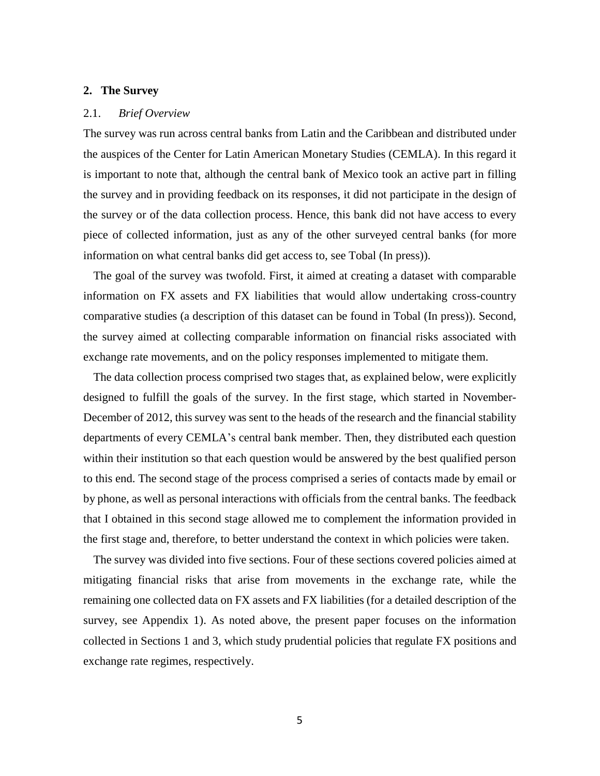#### **2. The Survey**

## 2.1. *Brief Overview*

The survey was run across central banks from Latin and the Caribbean and distributed under the auspices of the Center for Latin American Monetary Studies (CEMLA). In this regard it is important to note that, although the central bank of Mexico took an active part in filling the survey and in providing feedback on its responses, it did not participate in the design of the survey or of the data collection process. Hence, this bank did not have access to every piece of collected information, just as any of the other surveyed central banks (for more information on what central banks did get access to, see Tobal (In press)).

The goal of the survey was twofold. First, it aimed at creating a dataset with comparable information on FX assets and FX liabilities that would allow undertaking cross-country comparative studies (a description of this dataset can be found in Tobal (In press)). Second, the survey aimed at collecting comparable information on financial risks associated with exchange rate movements, and on the policy responses implemented to mitigate them.

The data collection process comprised two stages that, as explained below, were explicitly designed to fulfill the goals of the survey. In the first stage, which started in November-December of 2012, this survey was sent to the heads of the research and the financial stability departments of every CEMLA's central bank member. Then, they distributed each question within their institution so that each question would be answered by the best qualified person to this end. The second stage of the process comprised a series of contacts made by email or by phone, as well as personal interactions with officials from the central banks. The feedback that I obtained in this second stage allowed me to complement the information provided in the first stage and, therefore, to better understand the context in which policies were taken.

The survey was divided into five sections. Four of these sections covered policies aimed at mitigating financial risks that arise from movements in the exchange rate, while the remaining one collected data on FX assets and FX liabilities (for a detailed description of the survey, see Appendix 1). As noted above, the present paper focuses on the information collected in Sections 1 and 3, which study prudential policies that regulate FX positions and exchange rate regimes, respectively.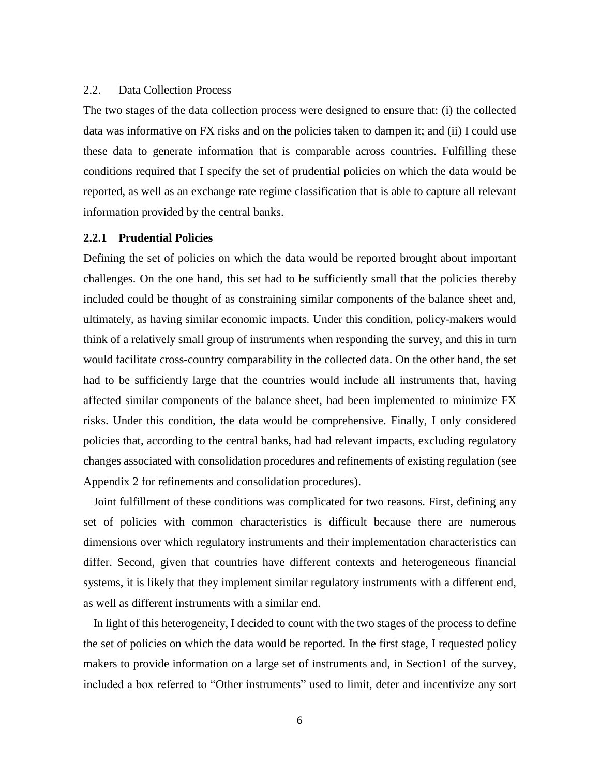#### 2.2. Data Collection Process

The two stages of the data collection process were designed to ensure that: (i) the collected data was informative on FX risks and on the policies taken to dampen it; and (ii) I could use these data to generate information that is comparable across countries. Fulfilling these conditions required that I specify the set of prudential policies on which the data would be reported, as well as an exchange rate regime classification that is able to capture all relevant information provided by the central banks.

## **2.2.1 Prudential Policies**

Defining the set of policies on which the data would be reported brought about important challenges. On the one hand, this set had to be sufficiently small that the policies thereby included could be thought of as constraining similar components of the balance sheet and, ultimately, as having similar economic impacts. Under this condition, policy-makers would think of a relatively small group of instruments when responding the survey, and this in turn would facilitate cross-country comparability in the collected data. On the other hand, the set had to be sufficiently large that the countries would include all instruments that, having affected similar components of the balance sheet, had been implemented to minimize FX risks. Under this condition, the data would be comprehensive. Finally, I only considered policies that, according to the central banks, had had relevant impacts, excluding regulatory changes associated with consolidation procedures and refinements of existing regulation (see Appendix 2 for refinements and consolidation procedures).

Joint fulfillment of these conditions was complicated for two reasons. First, defining any set of policies with common characteristics is difficult because there are numerous dimensions over which regulatory instruments and their implementation characteristics can differ. Second, given that countries have different contexts and heterogeneous financial systems, it is likely that they implement similar regulatory instruments with a different end, as well as different instruments with a similar end.

In light of this heterogeneity, I decided to count with the two stages of the process to define the set of policies on which the data would be reported. In the first stage, I requested policy makers to provide information on a large set of instruments and, in Section1 of the survey, included a box referred to "Other instruments" used to limit, deter and incentivize any sort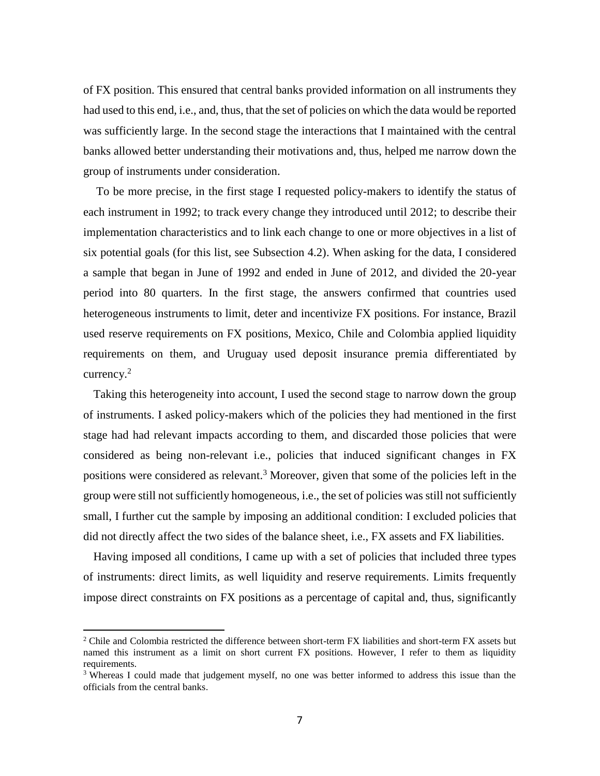of FX position. This ensured that central banks provided information on all instruments they had used to this end, i.e., and, thus, that the set of policies on which the data would be reported was sufficiently large. In the second stage the interactions that I maintained with the central banks allowed better understanding their motivations and, thus, helped me narrow down the group of instruments under consideration.

To be more precise, in the first stage I requested policy-makers to identify the status of each instrument in 1992; to track every change they introduced until 2012; to describe their implementation characteristics and to link each change to one or more objectives in a list of six potential goals (for this list, see Subsection 4.2). When asking for the data, I considered a sample that began in June of 1992 and ended in June of 2012, and divided the 20-year period into 80 quarters. In the first stage, the answers confirmed that countries used heterogeneous instruments to limit, deter and incentivize FX positions. For instance, Brazil used reserve requirements on FX positions, Mexico, Chile and Colombia applied liquidity requirements on them, and Uruguay used deposit insurance premia differentiated by currency. $2$ 

Taking this heterogeneity into account, I used the second stage to narrow down the group of instruments. I asked policy-makers which of the policies they had mentioned in the first stage had had relevant impacts according to them, and discarded those policies that were considered as being non-relevant i.e., policies that induced significant changes in FX positions were considered as relevant.<sup>3</sup> Moreover, given that some of the policies left in the group were still not sufficiently homogeneous, i.e., the set of policies was still not sufficiently small, I further cut the sample by imposing an additional condition: I excluded policies that did not directly affect the two sides of the balance sheet, i.e., FX assets and FX liabilities.

Having imposed all conditions, I came up with a set of policies that included three types of instruments: direct limits, as well liquidity and reserve requirements. Limits frequently impose direct constraints on FX positions as a percentage of capital and, thus, significantly

 $\overline{a}$ 

<sup>&</sup>lt;sup>2</sup> Chile and Colombia restricted the difference between short-term FX liabilities and short-term FX assets but named this instrument as a limit on short current FX positions. However, I refer to them as liquidity requirements.

<sup>&</sup>lt;sup>3</sup> Whereas I could made that judgement myself, no one was better informed to address this issue than the officials from the central banks.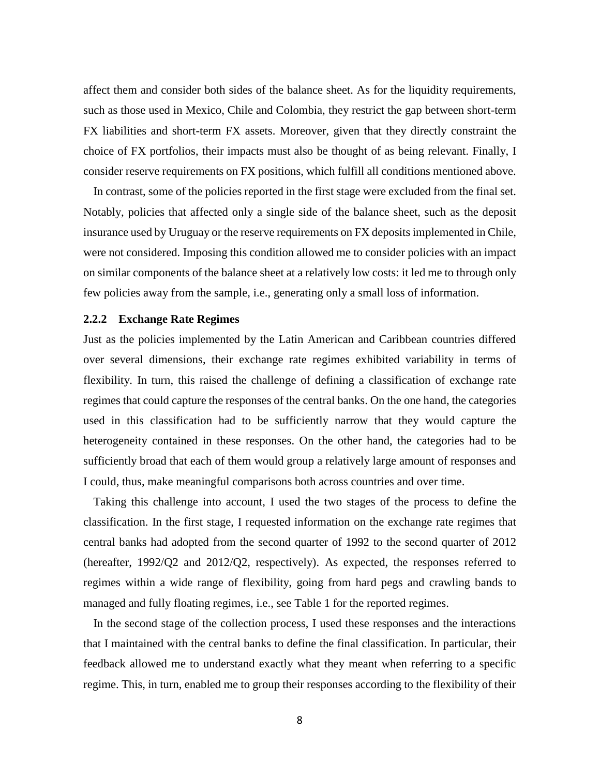affect them and consider both sides of the balance sheet. As for the liquidity requirements, such as those used in Mexico, Chile and Colombia, they restrict the gap between short-term FX liabilities and short-term FX assets. Moreover, given that they directly constraint the choice of FX portfolios, their impacts must also be thought of as being relevant. Finally, I consider reserve requirements on FX positions, which fulfill all conditions mentioned above.

In contrast, some of the policies reported in the first stage were excluded from the final set. Notably, policies that affected only a single side of the balance sheet, such as the deposit insurance used by Uruguay or the reserve requirements on FX deposits implemented in Chile, were not considered. Imposing this condition allowed me to consider policies with an impact on similar components of the balance sheet at a relatively low costs: it led me to through only few policies away from the sample, i.e., generating only a small loss of information.

## **2.2.2 Exchange Rate Regimes**

Just as the policies implemented by the Latin American and Caribbean countries differed over several dimensions, their exchange rate regimes exhibited variability in terms of flexibility. In turn, this raised the challenge of defining a classification of exchange rate regimes that could capture the responses of the central banks. On the one hand, the categories used in this classification had to be sufficiently narrow that they would capture the heterogeneity contained in these responses. On the other hand, the categories had to be sufficiently broad that each of them would group a relatively large amount of responses and I could, thus, make meaningful comparisons both across countries and over time.

Taking this challenge into account, I used the two stages of the process to define the classification. In the first stage, I requested information on the exchange rate regimes that central banks had adopted from the second quarter of 1992 to the second quarter of 2012 (hereafter, 1992/Q2 and 2012/Q2, respectively). As expected, the responses referred to regimes within a wide range of flexibility, going from hard pegs and crawling bands to managed and fully floating regimes, i.e., see Table 1 for the reported regimes.

In the second stage of the collection process, I used these responses and the interactions that I maintained with the central banks to define the final classification. In particular, their feedback allowed me to understand exactly what they meant when referring to a specific regime. This, in turn, enabled me to group their responses according to the flexibility of their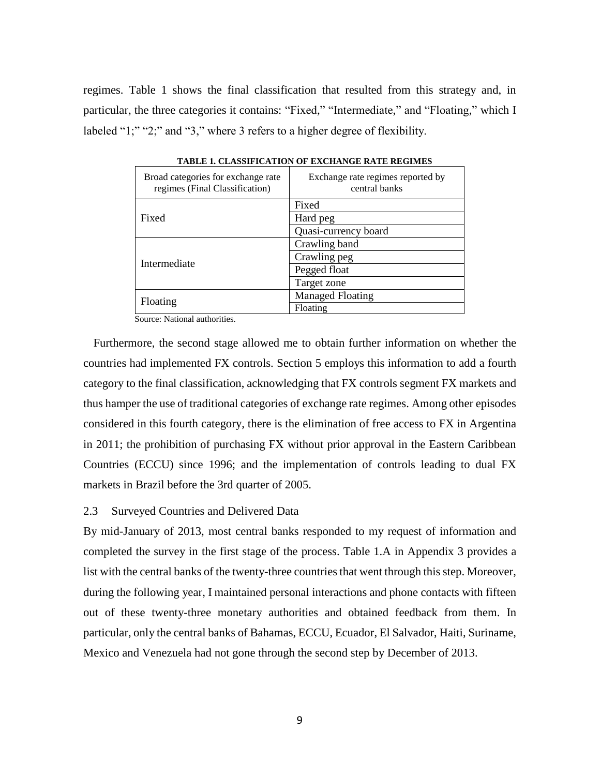regimes. Table 1 shows the final classification that resulted from this strategy and, in particular, the three categories it contains: "Fixed," "Intermediate," and "Floating," which I labeled "1;" "2;" and "3," where 3 refers to a higher degree of flexibility.

| Broad categories for exchange rate<br>regimes (Final Classification) | Exchange rate regimes reported by<br>central banks |
|----------------------------------------------------------------------|----------------------------------------------------|
|                                                                      | Fixed                                              |
| Fixed                                                                | Hard peg                                           |
|                                                                      | Quasi-currency board                               |
|                                                                      | Crawling band                                      |
| Intermediate                                                         | Crawling peg                                       |
|                                                                      | Pegged float                                       |
|                                                                      | Target zone                                        |
| Floating                                                             | <b>Managed Floating</b>                            |
|                                                                      | Floating                                           |

**TABLE 1. CLASSIFICATION OF EXCHANGE RATE REGIMES**

Source: National authorities.

Furthermore, the second stage allowed me to obtain further information on whether the countries had implemented FX controls. Section 5 employs this information to add a fourth category to the final classification, acknowledging that FX controls segment FX markets and thus hamper the use of traditional categories of exchange rate regimes. Among other episodes considered in this fourth category, there is the elimination of free access to FX in Argentina in 2011; the prohibition of purchasing FX without prior approval in the Eastern Caribbean Countries (ECCU) since 1996; and the implementation of controls leading to dual FX markets in Brazil before the 3rd quarter of 2005.

## 2.3 Surveyed Countries and Delivered Data

By mid-January of 2013, most central banks responded to my request of information and completed the survey in the first stage of the process. Table 1.A in Appendix 3 provides a list with the central banks of the twenty-three countries that went through this step. Moreover, during the following year, I maintained personal interactions and phone contacts with fifteen out of these twenty-three monetary authorities and obtained feedback from them. In particular, only the central banks of Bahamas, ECCU, Ecuador, El Salvador, Haiti, Suriname, Mexico and Venezuela had not gone through the second step by December of 2013.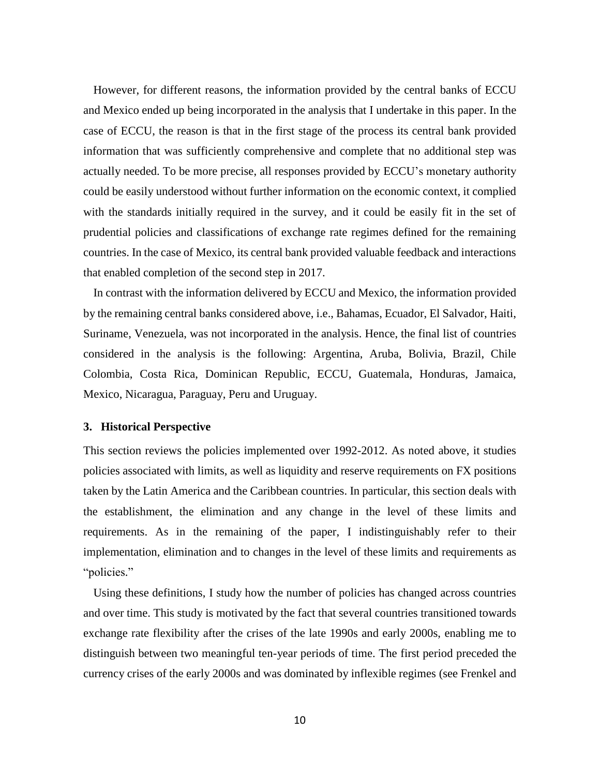However, for different reasons, the information provided by the central banks of ECCU and Mexico ended up being incorporated in the analysis that I undertake in this paper. In the case of ECCU, the reason is that in the first stage of the process its central bank provided information that was sufficiently comprehensive and complete that no additional step was actually needed. To be more precise, all responses provided by ECCU's monetary authority could be easily understood without further information on the economic context, it complied with the standards initially required in the survey, and it could be easily fit in the set of prudential policies and classifications of exchange rate regimes defined for the remaining countries. In the case of Mexico, its central bank provided valuable feedback and interactions that enabled completion of the second step in 2017.

In contrast with the information delivered by ECCU and Mexico, the information provided by the remaining central banks considered above, i.e., Bahamas, Ecuador, El Salvador, Haiti, Suriname, Venezuela, was not incorporated in the analysis. Hence, the final list of countries considered in the analysis is the following: Argentina, Aruba, Bolivia, Brazil, Chile Colombia, Costa Rica, Dominican Republic, ECCU, Guatemala, Honduras, Jamaica, Mexico, Nicaragua, Paraguay, Peru and Uruguay.

#### **3. Historical Perspective**

This section reviews the policies implemented over 1992-2012. As noted above, it studies policies associated with limits, as well as liquidity and reserve requirements on FX positions taken by the Latin America and the Caribbean countries. In particular, this section deals with the establishment, the elimination and any change in the level of these limits and requirements. As in the remaining of the paper, I indistinguishably refer to their implementation, elimination and to changes in the level of these limits and requirements as "policies."

Using these definitions, I study how the number of policies has changed across countries and over time. This study is motivated by the fact that several countries transitioned towards exchange rate flexibility after the crises of the late 1990s and early 2000s, enabling me to distinguish between two meaningful ten-year periods of time. The first period preceded the currency crises of the early 2000s and was dominated by inflexible regimes (see Frenkel and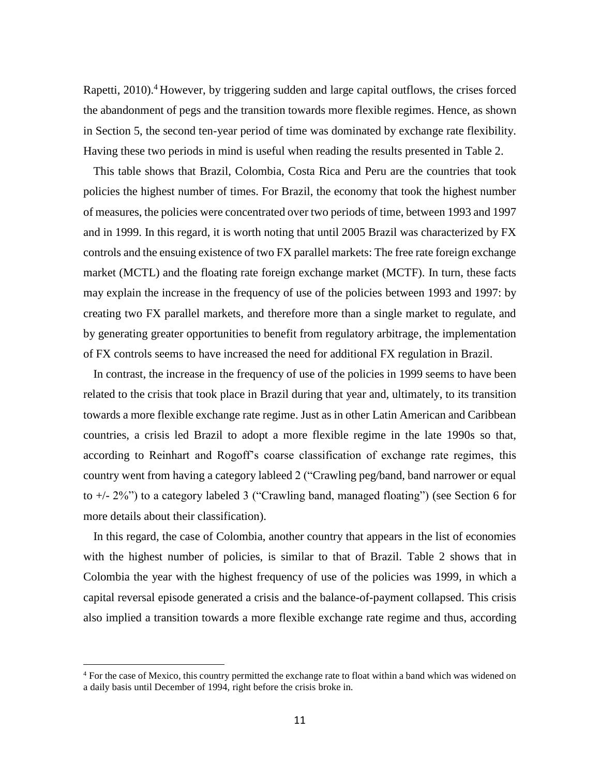Rapetti, 2010).<sup>4</sup> However, by triggering sudden and large capital outflows, the crises forced the abandonment of pegs and the transition towards more flexible regimes. Hence, as shown in Section 5, the second ten-year period of time was dominated by exchange rate flexibility. Having these two periods in mind is useful when reading the results presented in Table 2.

This table shows that Brazil, Colombia, Costa Rica and Peru are the countries that took policies the highest number of times. For Brazil, the economy that took the highest number of measures, the policies were concentrated over two periods of time, between 1993 and 1997 and in 1999. In this regard, it is worth noting that until 2005 Brazil was characterized by FX controls and the ensuing existence of two FX parallel markets: The free rate foreign exchange market (MCTL) and the floating rate foreign exchange market (MCTF). In turn, these facts may explain the increase in the frequency of use of the policies between 1993 and 1997: by creating two FX parallel markets, and therefore more than a single market to regulate, and by generating greater opportunities to benefit from regulatory arbitrage, the implementation of FX controls seems to have increased the need for additional FX regulation in Brazil.

In contrast, the increase in the frequency of use of the policies in 1999 seems to have been related to the crisis that took place in Brazil during that year and, ultimately, to its transition towards a more flexible exchange rate regime. Just as in other Latin American and Caribbean countries, a crisis led Brazil to adopt a more flexible regime in the late 1990s so that, according to Reinhart and Rogoff's coarse classification of exchange rate regimes, this country went from having a category lableed 2 ("Crawling peg/band, band narrower or equal to +/- 2%") to a category labeled 3 ("Crawling band, managed floating") (see Section 6 for more details about their classification).

In this regard, the case of Colombia, another country that appears in the list of economies with the highest number of policies, is similar to that of Brazil. Table 2 shows that in Colombia the year with the highest frequency of use of the policies was 1999, in which a capital reversal episode generated a crisis and the balance-of-payment collapsed. This crisis also implied a transition towards a more flexible exchange rate regime and thus, according

 $\overline{a}$ 

<sup>4</sup> For the case of Mexico, this country permitted the exchange rate to float within a band which was widened on a daily basis until December of 1994, right before the crisis broke in.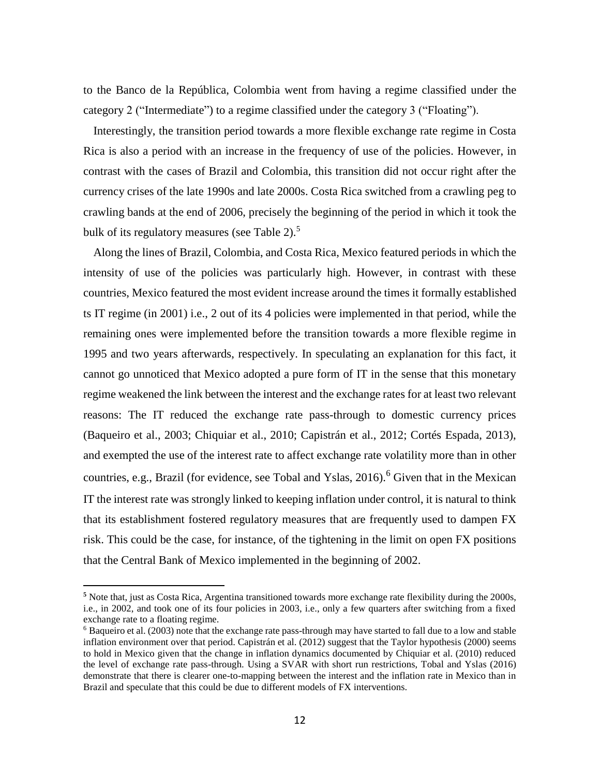to the Banco de la República, Colombia went from having a regime classified under the category 2 ("Intermediate") to a regime classified under the category 3 ("Floating").

Interestingly, the transition period towards a more flexible exchange rate regime in Costa Rica is also a period with an increase in the frequency of use of the policies. However, in contrast with the cases of Brazil and Colombia, this transition did not occur right after the currency crises of the late 1990s and late 2000s. Costa Rica switched from a crawling peg to crawling bands at the end of 2006, precisely the beginning of the period in which it took the bulk of its regulatory measures (see Table 2).<sup>5</sup>

Along the lines of Brazil, Colombia, and Costa Rica, Mexico featured periods in which the intensity of use of the policies was particularly high. However, in contrast with these countries, Mexico featured the most evident increase around the times it formally established ts IT regime (in 2001) i.e., 2 out of its 4 policies were implemented in that period, while the remaining ones were implemented before the transition towards a more flexible regime in 1995 and two years afterwards, respectively. In speculating an explanation for this fact, it cannot go unnoticed that Mexico adopted a pure form of IT in the sense that this monetary regime weakened the link between the interest and the exchange rates for at least two relevant reasons: The IT reduced the exchange rate pass-through to domestic currency prices (Baqueiro et al., 2003; Chiquiar et al., 2010; Capistrán et al., 2012; Cortés Espada, 2013), and exempted the use of the interest rate to affect exchange rate volatility more than in other countries, e.g., Brazil (for evidence, see Tobal and Yslas,  $2016$ ).<sup>6</sup> Given that in the Mexican IT the interest rate was strongly linked to keeping inflation under control, it is natural to think that its establishment fostered regulatory measures that are frequently used to dampen FX risk. This could be the case, for instance, of the tightening in the limit on open FX positions that the Central Bank of Mexico implemented in the beginning of 2002.

 $\overline{a}$ 

**<sup>5</sup>** Note that, just as Costa Rica, Argentina transitioned towards more exchange rate flexibility during the 2000s, i.e., in 2002, and took one of its four policies in 2003, i.e., only a few quarters after switching from a fixed exchange rate to a floating regime.

<sup>6</sup> Baqueiro et al. (2003) note that the exchange rate pass-through may have started to fall due to a low and stable inflation environment over that period. Capistrán et al. (2012) suggest that the Taylor hypothesis (2000) seems to hold in Mexico given that the change in inflation dynamics documented by Chiquiar et al. (2010) reduced the level of exchange rate pass-through. Using a SVAR with short run restrictions, Tobal and Yslas (2016) demonstrate that there is clearer one-to-mapping between the interest and the inflation rate in Mexico than in Brazil and speculate that this could be due to different models of FX interventions.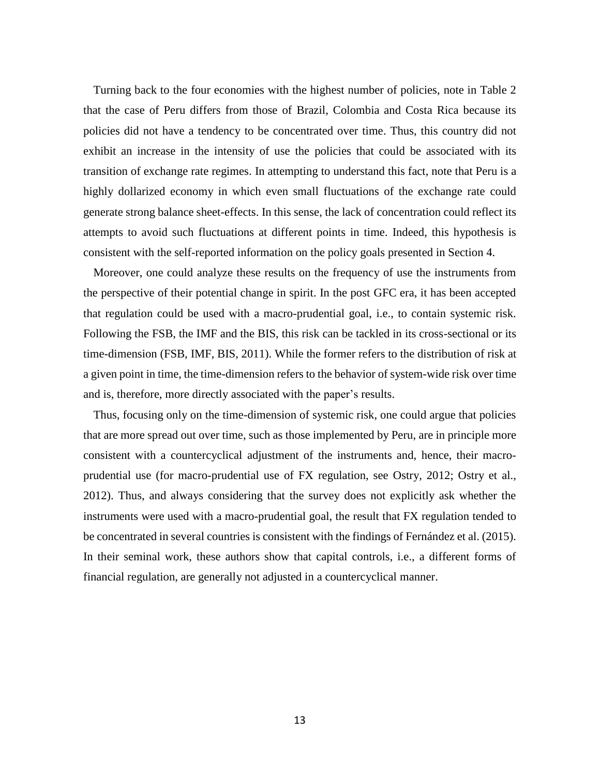Turning back to the four economies with the highest number of policies, note in Table 2 that the case of Peru differs from those of Brazil, Colombia and Costa Rica because its policies did not have a tendency to be concentrated over time. Thus, this country did not exhibit an increase in the intensity of use the policies that could be associated with its transition of exchange rate regimes. In attempting to understand this fact, note that Peru is a highly dollarized economy in which even small fluctuations of the exchange rate could generate strong balance sheet-effects. In this sense, the lack of concentration could reflect its attempts to avoid such fluctuations at different points in time. Indeed, this hypothesis is consistent with the self-reported information on the policy goals presented in Section 4.

Moreover, one could analyze these results on the frequency of use the instruments from the perspective of their potential change in spirit. In the post GFC era, it has been accepted that regulation could be used with a macro-prudential goal, i.e., to contain systemic risk. Following the FSB, the IMF and the BIS, this risk can be tackled in its cross-sectional or its time-dimension (FSB, IMF, BIS, 2011). While the former refers to the distribution of risk at a given point in time, the time-dimension refers to the behavior of system-wide risk over time and is, therefore, more directly associated with the paper's results.

Thus, focusing only on the time-dimension of systemic risk, one could argue that policies that are more spread out over time, such as those implemented by Peru, are in principle more consistent with a countercyclical adjustment of the instruments and, hence, their macroprudential use (for macro-prudential use of FX regulation, see Ostry, 2012; Ostry et al., 2012). Thus, and always considering that the survey does not explicitly ask whether the instruments were used with a macro-prudential goal, the result that FX regulation tended to be concentrated in several countries is consistent with the findings of Fernández et al. (2015). In their seminal work, these authors show that capital controls, i.e., a different forms of financial regulation, are generally not adjusted in a countercyclical manner.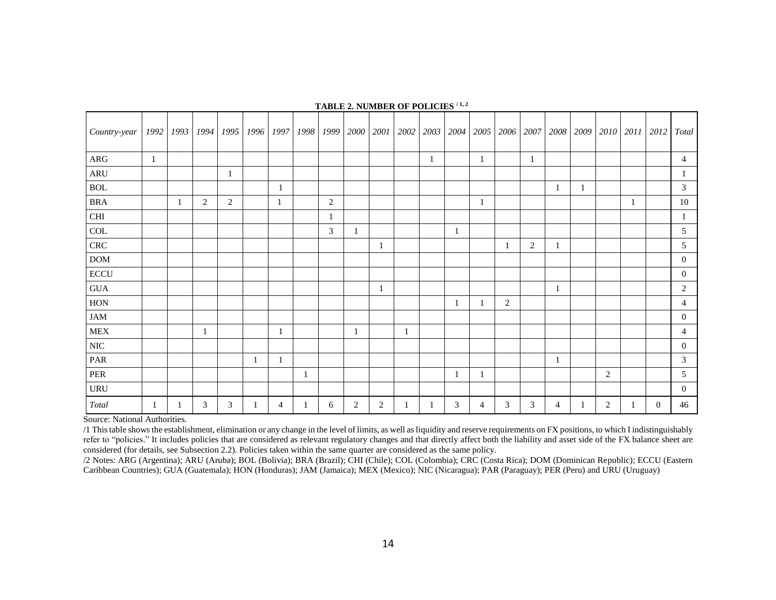| Country-year         | 1992 | 1993 |                |   | 1994   1995   1996   1997   1998   1999   2000   2001 |              |                |                |                |   |   |   | 2002   2003   2004   2005   2006   2007 |                |   |                |    |                | 2008 2009 2010 2011 2012 Total |
|----------------------|------|------|----------------|---|-------------------------------------------------------|--------------|----------------|----------------|----------------|---|---|---|-----------------------------------------|----------------|---|----------------|----|----------------|--------------------------------|
| ${\rm ARG}$          | 1    |      |                |   |                                                       |              |                |                |                | 1 |   | 1 |                                         | 1              |   |                |    |                | 4                              |
| $\operatorname{ARU}$ |      |      |                |   |                                                       |              |                |                |                |   |   |   |                                         |                |   |                |    |                |                                |
| <b>BOL</b>           |      |      |                |   |                                                       | 1            |                |                |                |   |   |   |                                         |                | 1 |                |    |                | 3                              |
| <b>BRA</b>           |      | -1   | $\overline{2}$ | 2 |                                                       | $\mathbf{1}$ | $\overline{c}$ |                |                |   |   | 1 |                                         |                |   |                | -1 |                | 10                             |
| $\rm CHI$            |      |      |                |   |                                                       |              | 1              |                |                |   |   |   |                                         |                |   |                |    |                | 1                              |
| COL                  |      |      |                |   |                                                       |              | 3              |                |                |   | 1 |   |                                         |                |   |                |    |                | 5                              |
| ${\rm CRC}$          |      |      |                |   |                                                       |              |                |                | 1              |   |   |   |                                         | $\overline{2}$ |   |                |    |                | 5                              |
| <b>DOM</b>           |      |      |                |   |                                                       |              |                |                |                |   |   |   |                                         |                |   |                |    |                | $\overline{0}$                 |
| <b>ECCU</b>          |      |      |                |   |                                                       |              |                |                |                |   |   |   |                                         |                |   |                |    |                | $\overline{0}$                 |
| $\rm GUA$            |      |      |                |   |                                                       |              |                |                | 1              |   |   |   |                                         |                | 1 |                |    |                | 2                              |
| HON                  |      |      |                |   |                                                       |              |                |                |                |   | 1 |   | 2                                       |                |   |                |    |                | 4                              |
| $\mathbf{JAM}$       |      |      |                |   |                                                       |              |                |                |                |   |   |   |                                         |                |   |                |    |                | $\overline{0}$                 |
| ${\rm MEX}$          |      |      |                |   |                                                       | 1            |                | $\mathbf{1}$   |                |   |   |   |                                         |                |   |                |    |                | $\overline{4}$                 |
| $\rm NIC$            |      |      |                |   |                                                       |              |                |                |                |   |   |   |                                         |                |   |                |    |                | $\mathbf{0}$                   |
| PAR                  |      |      |                |   | 1                                                     | 1            |                |                |                |   |   |   |                                         |                | 1 |                |    |                | 3                              |
| PER                  |      |      |                |   |                                                       |              |                |                |                |   | 1 | 1 |                                         |                |   | $\overline{2}$ |    |                | 5                              |
| <b>URU</b>           |      |      |                |   |                                                       |              |                |                |                |   |   |   |                                         |                |   |                |    |                | $\Omega$                       |
| Total                | 1    |      | 3              | 3 |                                                       | 4            | 6              | $\overline{2}$ | $\overline{c}$ |   | 3 | 4 | 3                                       | 3              | 4 | $\overline{2}$ |    | $\overline{0}$ | 46                             |

#### **TABLE 2. NUMBER OF POLICIES / 1, 2**

Source: National Authorities.

/1 This table shows the establishment, elimination or any change in the level of limits, as well as liquidity and reserve requirements on FX positions, to which I indistinguishably refer to "policies." It includes policies that are considered as relevant regulatory changes and that directly affect both the liability and asset side of the FX balance sheet are considered (for details, see Subsection 2.2). Policies taken within the same quarter are considered as the same policy.

/2 Notes: ARG (Argentina); ARU (Aruba); BOL (Bolivia); BRA (Brazil); CHI (Chile); COL (Colombia); CRC (Costa Rica); DOM (Dominican Republic); ECCU (Eastern Caribbean Countries); GUA (Guatemala); HON (Honduras); JAM (Jamaica); MEX (Mexico); NIC (Nicaragua); PAR (Paraguay); PER (Peru) and URU (Uruguay)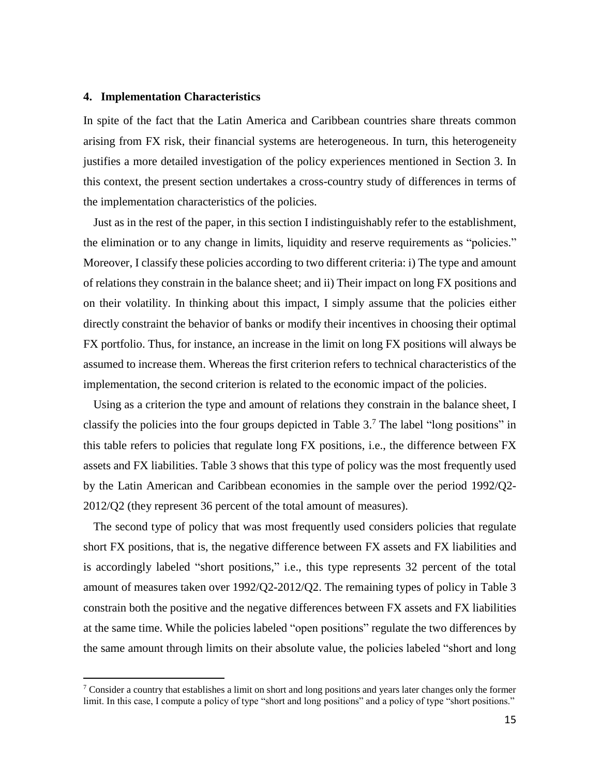## **4. Implementation Characteristics**

 $\overline{a}$ 

In spite of the fact that the Latin America and Caribbean countries share threats common arising from FX risk, their financial systems are heterogeneous. In turn, this heterogeneity justifies a more detailed investigation of the policy experiences mentioned in Section 3. In this context, the present section undertakes a cross-country study of differences in terms of the implementation characteristics of the policies.

Just as in the rest of the paper, in this section I indistinguishably refer to the establishment, the elimination or to any change in limits, liquidity and reserve requirements as "policies." Moreover, I classify these policies according to two different criteria: i) The type and amount of relations they constrain in the balance sheet; and ii) Their impact on long FX positions and on their volatility. In thinking about this impact, I simply assume that the policies either directly constraint the behavior of banks or modify their incentives in choosing their optimal FX portfolio. Thus, for instance, an increase in the limit on long FX positions will always be assumed to increase them. Whereas the first criterion refers to technical characteristics of the implementation, the second criterion is related to the economic impact of the policies.

Using as a criterion the type and amount of relations they constrain in the balance sheet, I classify the policies into the four groups depicted in Table 3. <sup>7</sup> The label "long positions" in this table refers to policies that regulate long FX positions, i.e., the difference between FX assets and FX liabilities. Table 3 shows that this type of policy was the most frequently used by the Latin American and Caribbean economies in the sample over the period 1992/Q2- 2012/Q2 (they represent 36 percent of the total amount of measures).

The second type of policy that was most frequently used considers policies that regulate short FX positions, that is, the negative difference between FX assets and FX liabilities and is accordingly labeled "short positions," i.e., this type represents 32 percent of the total amount of measures taken over 1992/Q2-2012/Q2. The remaining types of policy in Table 3 constrain both the positive and the negative differences between FX assets and FX liabilities at the same time. While the policies labeled "open positions" regulate the two differences by the same amount through limits on their absolute value, the policies labeled "short and long

<sup>7</sup> Consider a country that establishes a limit on short and long positions and years later changes only the former limit. In this case, I compute a policy of type "short and long positions" and a policy of type "short positions."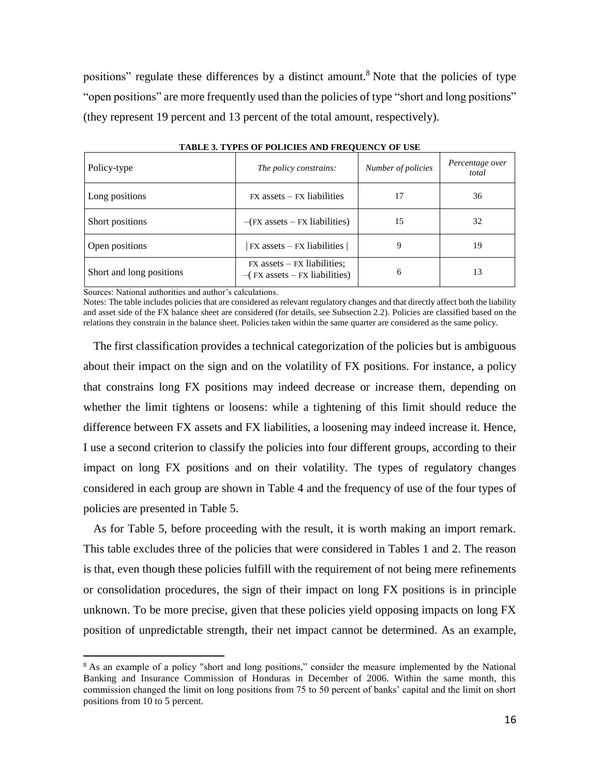positions" regulate these differences by a distinct amount.<sup>8</sup> Note that the policies of type "open positions" are more frequently used than the policies of type "short and long positions" (they represent 19 percent and 13 percent of the total amount, respectively).

| Policy-type              | The policy constrains:                                              | Number of policies | Percentage over<br>total |
|--------------------------|---------------------------------------------------------------------|--------------------|--------------------------|
| Long positions           | $FX$ assets $- FX$ liabilities                                      | 17                 | 36                       |
| Short positions          | $-(FX$ assets $-FX$ liabilities)                                    | 15                 | 32                       |
| Open positions           | $FX$ assets $-FX$ liabilities                                       | 9                  | 19                       |
| Short and long positions | $FX$ assets $- FX$ liabilities;<br>$-(FX$ assets $-FX$ liabilities) | 6                  | 13                       |

**TABLE 3. TYPES OF POLICIES AND FREQUENCY OF USE**

Sources: National authorities and author's calculations.

l

Notes: The table includes policies that are considered as relevant regulatory changes and that directly affect both the liability and asset side of the FX balance sheet are considered (for details, see Subsection 2.2). Policies are classified based on the relations they constrain in the balance sheet. Policies taken within the same quarter are considered as the same policy.

The first classification provides a technical categorization of the policies but is ambiguous about their impact on the sign and on the volatility of FX positions. For instance, a policy that constrains long FX positions may indeed decrease or increase them, depending on whether the limit tightens or loosens: while a tightening of this limit should reduce the difference between FX assets and FX liabilities, a loosening may indeed increase it. Hence, I use a second criterion to classify the policies into four different groups, according to their impact on long FX positions and on their volatility. The types of regulatory changes considered in each group are shown in Table 4 and the frequency of use of the four types of policies are presented in Table 5.

As for Table 5, before proceeding with the result, it is worth making an import remark. This table excludes three of the policies that were considered in Tables 1 and 2. The reason is that, even though these policies fulfill with the requirement of not being mere refinements or consolidation procedures, the sign of their impact on long FX positions is in principle unknown. To be more precise, given that these policies yield opposing impacts on long FX position of unpredictable strength, their net impact cannot be determined. As an example,

<sup>&</sup>lt;sup>8</sup> As an example of a policy "short and long positions," consider the measure implemented by the National Banking and Insurance Commission of Honduras in December of 2006. Within the same month, this commission changed the limit on long positions from 75 to 50 percent of banks' capital and the limit on short positions from 10 to 5 percent.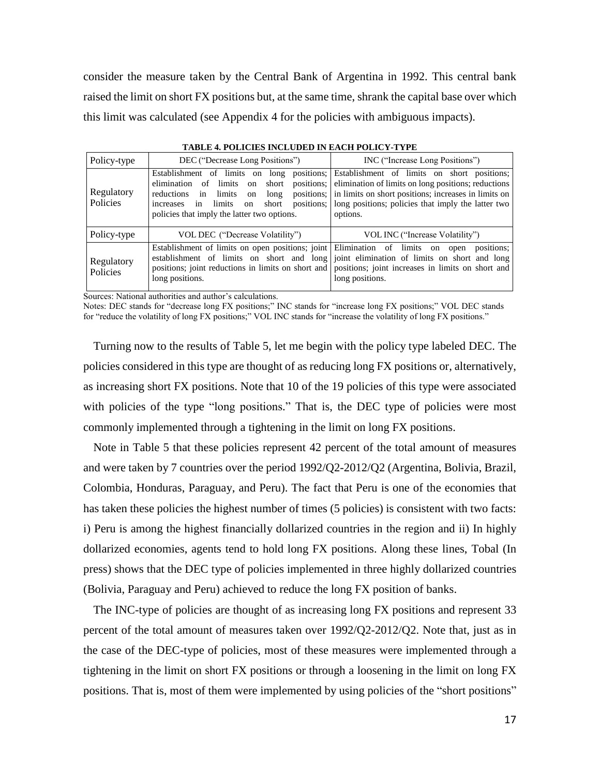consider the measure taken by the Central Bank of Argentina in 1992. This central bank raised the limit on short FX positions but, at the same time, shrank the capital base over which this limit was calculated (see Appendix 4 for the policies with ambiguous impacts).

| Policy-type            | DEC ("Decrease Long Positions")                                                                                               | INC ("Increase Long Positions")                                                                                                                                                                                                                                                                                                     |  |  |
|------------------------|-------------------------------------------------------------------------------------------------------------------------------|-------------------------------------------------------------------------------------------------------------------------------------------------------------------------------------------------------------------------------------------------------------------------------------------------------------------------------------|--|--|
| Regulatory<br>Policies | elimination<br>reductions in limits<br>long<br>on<br>increases in<br>limits on<br>policies that imply the latter two options. | Establishment of limits on long positions; Establishment of limits on short positions;<br>of limits on short positions; elimination of limits on long positions; reductions<br>positions; in limits on short positions; increases in limits on<br>short positions;   long positions; policies that imply the latter two<br>options. |  |  |
| Policy-type            | VOL DEC ("Decrease Volatility")                                                                                               | VOL INC ("Increase Volatility")                                                                                                                                                                                                                                                                                                     |  |  |
| Regulatory<br>Policies | Establishment of limits on open positions; joint Elimination of limits on open<br>long positions.                             | positions:<br>establishment of limits on short and long joint elimination of limits on short and long<br>positions; joint reductions in limits on short and positions; joint increases in limits on short and<br>long positions.                                                                                                    |  |  |

**TABLE 4. POLICIES INCLUDED IN EACH POLICY-TYPE**

Sources: National authorities and author's calculations.

Notes: DEC stands for "decrease long FX positions;" INC stands for "increase long FX positions;" VOL DEC stands for "reduce the volatility of long FX positions;" VOL INC stands for "increase the volatility of long FX positions."

Turning now to the results of Table 5, let me begin with the policy type labeled DEC. The policies considered in this type are thought of as reducing long FX positions or, alternatively, as increasing short FX positions. Note that 10 of the 19 policies of this type were associated with policies of the type "long positions." That is, the DEC type of policies were most commonly implemented through a tightening in the limit on long FX positions.

Note in Table 5 that these policies represent 42 percent of the total amount of measures and were taken by 7 countries over the period 1992/Q2-2012/Q2 (Argentina, Bolivia, Brazil, Colombia, Honduras, Paraguay, and Peru). The fact that Peru is one of the economies that has taken these policies the highest number of times (5 policies) is consistent with two facts: i) Peru is among the highest financially dollarized countries in the region and ii) In highly dollarized economies, agents tend to hold long FX positions. Along these lines, Tobal (In press) shows that the DEC type of policies implemented in three highly dollarized countries (Bolivia, Paraguay and Peru) achieved to reduce the long FX position of banks.

The INC-type of policies are thought of as increasing long FX positions and represent 33 percent of the total amount of measures taken over 1992/Q2-2012/Q2. Note that, just as in the case of the DEC-type of policies, most of these measures were implemented through a tightening in the limit on short FX positions or through a loosening in the limit on long FX positions. That is, most of them were implemented by using policies of the "short positions"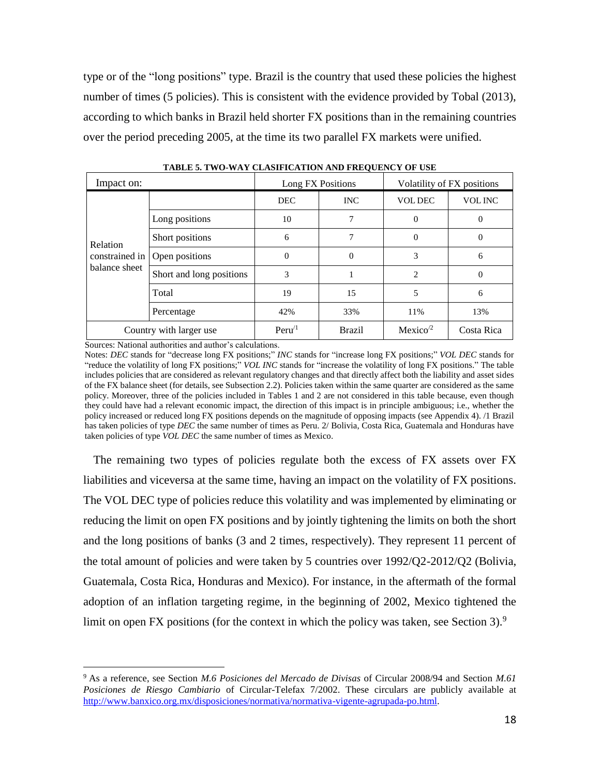type or of the "long positions" type. Brazil is the country that used these policies the highest number of times (5 policies). This is consistent with the evidence provided by Tobal (2013), according to which banks in Brazil held shorter FX positions than in the remaining countries over the period preceding 2005, at the time its two parallel FX markets were unified.

| Impact on:              |                          |                   | Long FX Positions | Volatility of FX positions |                |  |
|-------------------------|--------------------------|-------------------|-------------------|----------------------------|----------------|--|
|                         |                          | <b>DEC</b>        | <b>INC</b>        | <b>VOL DEC</b>             | <b>VOL INC</b> |  |
|                         | Long positions           | 10                | 7                 | $\Omega$                   | 0              |  |
| Relation                | Short positions          | 6                 |                   | $\Omega$                   | $\left($       |  |
| constrained in          | Open positions           | $\Omega$          | $\overline{0}$    | 3                          | 6              |  |
| balance sheet           | Short and long positions | 3                 |                   | $\mathfrak{D}$             | 0              |  |
|                         | Total                    | 19                | 15                | 5                          | 6              |  |
|                         | Percentage               | 42%               | 33%               | 11%                        | 13%            |  |
| Country with larger use |                          | Peru <sup>1</sup> | <b>Brazil</b>     | Mexico <sup>2</sup>        | Costa Rica     |  |

**TABLE 5. TWO-WAY CLASIFICATION AND FREQUENCY OF USE**

Sources: National authorities and author's calculations.

 $\overline{a}$ 

Notes: *DEC* stands for "decrease long FX positions;" *INC* stands for "increase long FX positions;" *VOL DEC* stands for "reduce the volatility of long FX positions;" *VOL INC* stands for "increase the volatility of long FX positions." The table includes policies that are considered as relevant regulatory changes and that directly affect both the liability and asset sides of the FX balance sheet (for details, see Subsection 2.2). Policies taken within the same quarter are considered as the same policy. Moreover, three of the policies included in Tables 1 and 2 are not considered in this table because, even though they could have had a relevant economic impact, the direction of this impact is in principle ambiguous; i.e., whether the policy increased or reduced long FX positions depends on the magnitude of opposing impacts (see Appendix 4). /1 Brazil has taken policies of type *DEC* the same number of times as Peru. 2/ Bolivia, Costa Rica, Guatemala and Honduras have taken policies of type *VOL DEC* the same number of times as Mexico.

The remaining two types of policies regulate both the excess of FX assets over FX liabilities and viceversa at the same time, having an impact on the volatility of FX positions. The VOL DEC type of policies reduce this volatility and was implemented by eliminating or reducing the limit on open FX positions and by jointly tightening the limits on both the short and the long positions of banks (3 and 2 times, respectively). They represent 11 percent of the total amount of policies and were taken by 5 countries over 1992/Q2-2012/Q2 (Bolivia, Guatemala, Costa Rica, Honduras and Mexico). For instance, in the aftermath of the formal adoption of an inflation targeting regime, in the beginning of 2002, Mexico tightened the limit on open FX positions (for the context in which the policy was taken, see Section 3).<sup>9</sup>

<sup>9</sup> As a reference, see Section *M.6 Posiciones del Mercado de Divisas* of Circular 2008/94 and Section *M.61 Posiciones de Riesgo Cambiario* of Circular-Telefax 7/2002. These circulars are publicly available at [http://www.banxico.org.mx/disposiciones/normativa/normativa-vigente-agrupada-po.html.](http://www.banxico.org.mx/disposiciones/normativa/normativa-vigente-agrupada-po.html)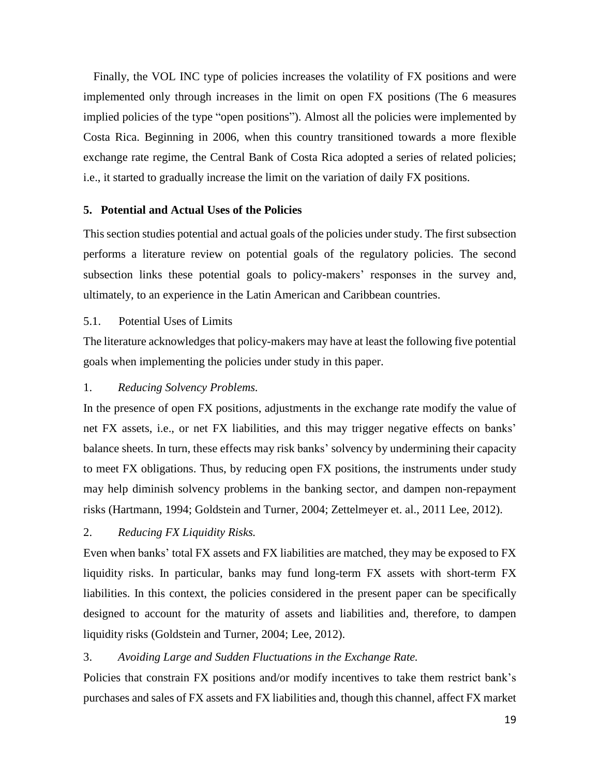Finally, the VOL INC type of policies increases the volatility of FX positions and were implemented only through increases in the limit on open FX positions (The 6 measures implied policies of the type "open positions"). Almost all the policies were implemented by Costa Rica. Beginning in 2006, when this country transitioned towards a more flexible exchange rate regime, the Central Bank of Costa Rica adopted a series of related policies; i.e., it started to gradually increase the limit on the variation of daily FX positions.

## **5. Potential and Actual Uses of the Policies**

This section studies potential and actual goals of the policies under study. The first subsection performs a literature review on potential goals of the regulatory policies. The second subsection links these potential goals to policy-makers' responses in the survey and, ultimately, to an experience in the Latin American and Caribbean countries.

## 5.1. Potential Uses of Limits

The literature acknowledges that policy-makers may have at least the following five potential goals when implementing the policies under study in this paper.

## 1. *Reducing Solvency Problems.*

In the presence of open FX positions, adjustments in the exchange rate modify the value of net FX assets, i.e., or net FX liabilities, and this may trigger negative effects on banks' balance sheets. In turn, these effects may risk banks' solvency by undermining their capacity to meet FX obligations. Thus, by reducing open FX positions, the instruments under study may help diminish solvency problems in the banking sector, and dampen non-repayment risks (Hartmann, 1994; Goldstein and Turner, 2004; Zettelmeyer et. al., 2011 Lee, 2012).

## 2. *Reducing FX Liquidity Risks.*

Even when banks' total FX assets and FX liabilities are matched, they may be exposed to FX liquidity risks. In particular, banks may fund long-term FX assets with short-term FX liabilities. In this context, the policies considered in the present paper can be specifically designed to account for the maturity of assets and liabilities and, therefore, to dampen liquidity risks (Goldstein and Turner, 2004; Lee, 2012).

## 3. *Avoiding Large and Sudden Fluctuations in the Exchange Rate.*

Policies that constrain FX positions and/or modify incentives to take them restrict bank's purchases and sales of FX assets and FX liabilities and, though this channel, affect FX market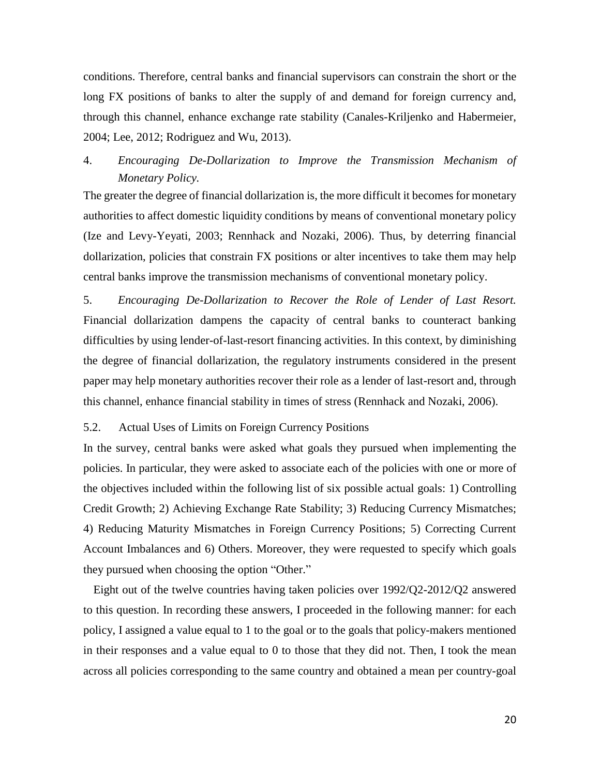conditions. Therefore, central banks and financial supervisors can constrain the short or the long FX positions of banks to alter the supply of and demand for foreign currency and, through this channel, enhance exchange rate stability (Canales-Kriljenko and Habermeier, 2004; Lee, 2012; Rodriguez and Wu, 2013).

## 4. *Encouraging De-Dollarization to Improve the Transmission Mechanism of Monetary Policy.*

The greater the degree of financial dollarization is, the more difficult it becomes for monetary authorities to affect domestic liquidity conditions by means of conventional monetary policy (Ize and Levy-Yeyati, 2003; Rennhack and Nozaki, 2006). Thus, by deterring financial dollarization, policies that constrain FX positions or alter incentives to take them may help central banks improve the transmission mechanisms of conventional monetary policy.

5. *Encouraging De-Dollarization to Recover the Role of Lender of Last Resort.* Financial dollarization dampens the capacity of central banks to counteract banking difficulties by using lender-of-last-resort financing activities. In this context, by diminishing the degree of financial dollarization, the regulatory instruments considered in the present paper may help monetary authorities recover their role as a lender of last-resort and, through this channel, enhance financial stability in times of stress (Rennhack and Nozaki, 2006).

## 5.2. Actual Uses of Limits on Foreign Currency Positions

In the survey, central banks were asked what goals they pursued when implementing the policies. In particular, they were asked to associate each of the policies with one or more of the objectives included within the following list of six possible actual goals: 1) Controlling Credit Growth; 2) Achieving Exchange Rate Stability; 3) Reducing Currency Mismatches; 4) Reducing Maturity Mismatches in Foreign Currency Positions; 5) Correcting Current Account Imbalances and 6) Others. Moreover, they were requested to specify which goals they pursued when choosing the option "Other."

Eight out of the twelve countries having taken policies over 1992/Q2-2012/Q2 answered to this question. In recording these answers, I proceeded in the following manner: for each policy, I assigned a value equal to 1 to the goal or to the goals that policy-makers mentioned in their responses and a value equal to 0 to those that they did not. Then, I took the mean across all policies corresponding to the same country and obtained a mean per country-goal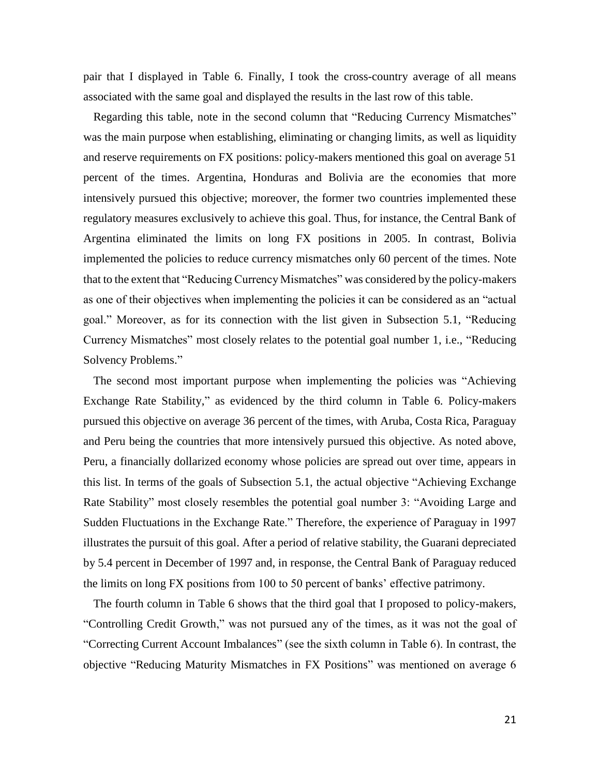pair that I displayed in Table 6. Finally, I took the cross-country average of all means associated with the same goal and displayed the results in the last row of this table.

Regarding this table, note in the second column that "Reducing Currency Mismatches" was the main purpose when establishing, eliminating or changing limits, as well as liquidity and reserve requirements on FX positions: policy-makers mentioned this goal on average 51 percent of the times. Argentina, Honduras and Bolivia are the economies that more intensively pursued this objective; moreover, the former two countries implemented these regulatory measures exclusively to achieve this goal. Thus, for instance, the Central Bank of Argentina eliminated the limits on long FX positions in 2005. In contrast, Bolivia implemented the policies to reduce currency mismatches only 60 percent of the times. Note that to the extent that "Reducing Currency Mismatches" was considered by the policy-makers as one of their objectives when implementing the policies it can be considered as an "actual goal." Moreover, as for its connection with the list given in Subsection 5.1, "Reducing Currency Mismatches" most closely relates to the potential goal number 1, i.e., "Reducing Solvency Problems."

The second most important purpose when implementing the policies was "Achieving Exchange Rate Stability," as evidenced by the third column in Table 6. Policy-makers pursued this objective on average 36 percent of the times, with Aruba, Costa Rica, Paraguay and Peru being the countries that more intensively pursued this objective. As noted above, Peru, a financially dollarized economy whose policies are spread out over time, appears in this list. In terms of the goals of Subsection 5.1, the actual objective "Achieving Exchange Rate Stability" most closely resembles the potential goal number 3: "Avoiding Large and Sudden Fluctuations in the Exchange Rate." Therefore, the experience of Paraguay in 1997 illustrates the pursuit of this goal. After a period of relative stability, the Guarani depreciated by 5.4 percent in December of 1997 and, in response, the Central Bank of Paraguay reduced the limits on long FX positions from 100 to 50 percent of banks' effective patrimony.

The fourth column in Table 6 shows that the third goal that I proposed to policy-makers, "Controlling Credit Growth," was not pursued any of the times, as it was not the goal of "Correcting Current Account Imbalances" (see the sixth column in Table 6). In contrast, the objective "Reducing Maturity Mismatches in FX Positions" was mentioned on average 6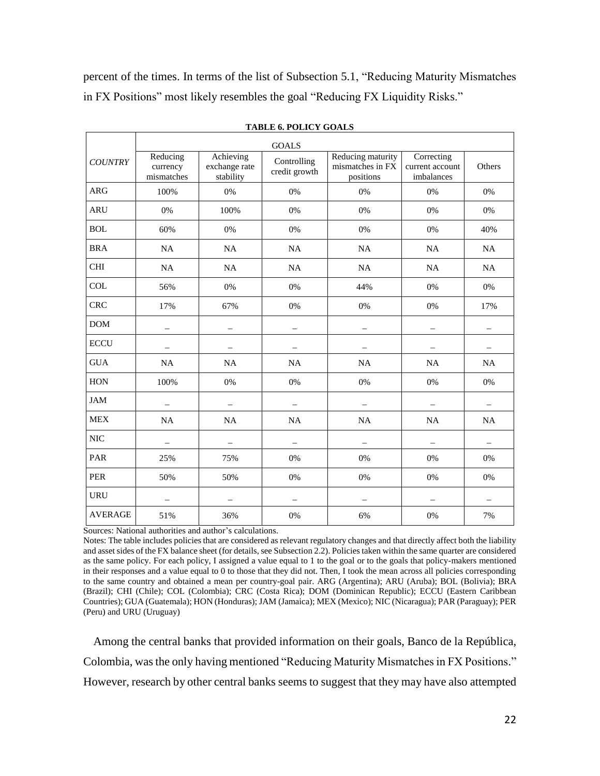percent of the times. In terms of the list of Subsection 5.1, "Reducing Maturity Mismatches in FX Positions" most likely resembles the goal "Reducing FX Liquidity Risks."

|                |                                    |                                         | <b>GOALS</b>                 |                                                    |                                             |                          |
|----------------|------------------------------------|-----------------------------------------|------------------------------|----------------------------------------------------|---------------------------------------------|--------------------------|
| <b>COUNTRY</b> | Reducing<br>currency<br>mismatches | Achieving<br>exchange rate<br>stability | Controlling<br>credit growth | Reducing maturity<br>mismatches in FX<br>positions | Correcting<br>current account<br>imbalances | Others                   |
| <b>ARG</b>     | 100%                               | $0\%$                                   | 0%                           | 0%                                                 | 0%                                          | $0\%$                    |
| <b>ARU</b>     | 0%                                 | 100%                                    | 0%                           | 0%                                                 | 0%                                          | 0%                       |
| <b>BOL</b>     | 60%                                | $0\%$                                   | 0%                           | $0\%$                                              | 0%                                          | 40%                      |
| <b>BRA</b>     | NA                                 | NA                                      | NA                           | NA                                                 | NA                                          | NA                       |
| <b>CHI</b>     | NA                                 | NA                                      | <b>NA</b>                    | NA                                                 | <b>NA</b>                                   | NA                       |
| <b>COL</b>     | 56%                                | $0\%$                                   | 0%                           | 44%                                                | 0%                                          | $0\%$                    |
| <b>CRC</b>     | 17%                                | 67%                                     | 0%                           | 0%                                                 | 0%                                          | 17%                      |
| <b>DOM</b>     | $\overline{\phantom{0}}$           | $\overline{\phantom{0}}$                | $\qquad \qquad -$            | $\equiv$                                           | $\qquad \qquad -$                           | $\overline{\phantom{0}}$ |
| <b>ECCU</b>    |                                    |                                         |                              |                                                    |                                             |                          |
| <b>GUA</b>     | NA                                 | NA                                      | NA                           | NA                                                 | NA                                          | NA                       |
| <b>HON</b>     | 100%                               | 0%                                      | 0%                           | 0%                                                 | 0%                                          | 0%                       |
| <b>JAM</b>     |                                    |                                         |                              |                                                    |                                             |                          |
| <b>MEX</b>     | NA                                 | <b>NA</b>                               | <b>NA</b>                    | NA                                                 | NA                                          | NA                       |
| <b>NIC</b>     | $\overline{\phantom{0}}$           | $\overline{a}$                          | $\equiv$                     | $\overline{a}$                                     | $\overline{a}$                              | $\overline{\phantom{0}}$ |
| PAR            | 25%                                | 75%                                     | 0%                           | 0%                                                 | 0%                                          | 0%                       |
| <b>PER</b>     | 50%                                | 50%                                     | 0%                           | 0%                                                 | 0%                                          | $0\%$                    |
| <b>URU</b>     | $\overline{\phantom{0}}$           | $\overline{\phantom{0}}$                | $\qquad \qquad -$            | $\overline{\phantom{0}}$                           | $\overline{ }$                              | $\overline{\phantom{0}}$ |
| <b>AVERAGE</b> | 51%                                | 36%                                     | 0%                           | 6%                                                 | 0%                                          | 7%                       |

**TABLE 6. POLICY GOALS**

Sources: National authorities and author's calculations.

Notes: The table includes policies that are considered as relevant regulatory changes and that directly affect both the liability and asset sides of the FX balance sheet (for details, see Subsection 2.2). Policies taken within the same quarter are considered as the same policy. For each policy, I assigned a value equal to 1 to the goal or to the goals that policy-makers mentioned in their responses and a value equal to 0 to those that they did not. Then, I took the mean across all policies corresponding to the same country and obtained a mean per country-goal pair. ARG (Argentina); ARU (Aruba); BOL (Bolivia); BRA (Brazil); CHI (Chile); COL (Colombia); CRC (Costa Rica); DOM (Dominican Republic); ECCU (Eastern Caribbean Countries); GUA (Guatemala); HON (Honduras); JAM (Jamaica); MEX (Mexico); NIC (Nicaragua); PAR (Paraguay); PER (Peru) and URU (Uruguay)

Among the central banks that provided information on their goals, Banco de la República, Colombia, was the only having mentioned "Reducing Maturity Mismatches in FX Positions." However, research by other central banks seems to suggest that they may have also attempted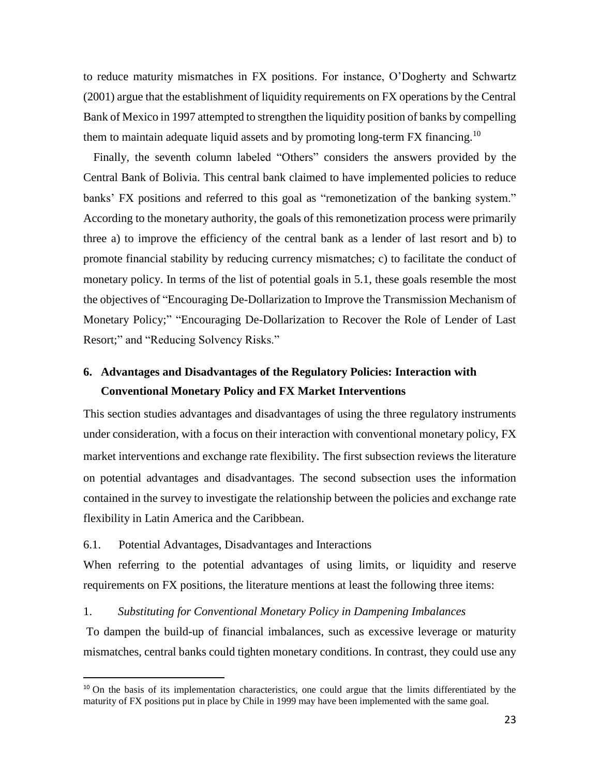to reduce maturity mismatches in FX positions. For instance, O'Dogherty and Schwartz (2001) argue that the establishment of liquidity requirements on FX operations by the Central Bank of Mexico in 1997 attempted to strengthen the liquidity position of banks by compelling them to maintain adequate liquid assets and by promoting long-term  $FX$  financing.<sup>10</sup>

Finally, the seventh column labeled "Others" considers the answers provided by the Central Bank of Bolivia. This central bank claimed to have implemented policies to reduce banks' FX positions and referred to this goal as "remonetization of the banking system." According to the monetary authority, the goals of this remonetization process were primarily three a) to improve the efficiency of the central bank as a lender of last resort and b) to promote financial stability by reducing currency mismatches; c) to facilitate the conduct of monetary policy. In terms of the list of potential goals in 5.1, these goals resemble the most the objectives of "Encouraging De-Dollarization to Improve the Transmission Mechanism of Monetary Policy;" "Encouraging De-Dollarization to Recover the Role of Lender of Last Resort;" and "Reducing Solvency Risks."

## **6. Advantages and Disadvantages of the Regulatory Policies: Interaction with Conventional Monetary Policy and FX Market Interventions**

This section studies advantages and disadvantages of using the three regulatory instruments under consideration, with a focus on their interaction with conventional monetary policy, FX market interventions and exchange rate flexibility. The first subsection reviews the literature on potential advantages and disadvantages. The second subsection uses the information contained in the survey to investigate the relationship between the policies and exchange rate flexibility in Latin America and the Caribbean.

## 6.1. Potential Advantages, Disadvantages and Interactions

 $\overline{a}$ 

When referring to the potential advantages of using limits, or liquidity and reserve requirements on FX positions, the literature mentions at least the following three items:

## 1. *Substituting for Conventional Monetary Policy in Dampening Imbalances*

To dampen the build-up of financial imbalances, such as excessive leverage or maturity mismatches, central banks could tighten monetary conditions. In contrast, they could use any

<sup>&</sup>lt;sup>10</sup> On the basis of its implementation characteristics, one could argue that the limits differentiated by the maturity of FX positions put in place by Chile in 1999 may have been implemented with the same goal.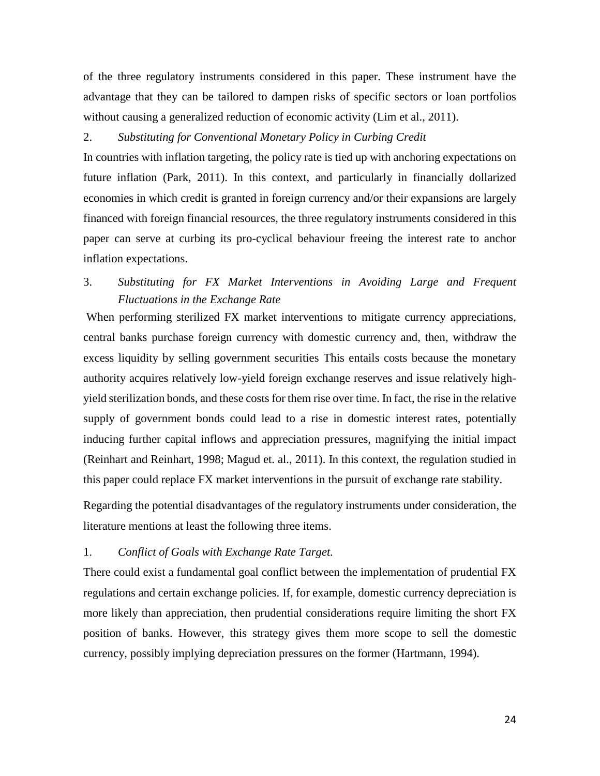of the three regulatory instruments considered in this paper. These instrument have the advantage that they can be tailored to dampen risks of specific sectors or loan portfolios without causing a generalized reduction of economic activity (Lim et al., 2011).

## 2. *Substituting for Conventional Monetary Policy in Curbing Credit*

In countries with inflation targeting, the policy rate is tied up with anchoring expectations on future inflation (Park, 2011). In this context, and particularly in financially dollarized economies in which credit is granted in foreign currency and/or their expansions are largely financed with foreign financial resources, the three regulatory instruments considered in this paper can serve at curbing its pro-cyclical behaviour freeing the interest rate to anchor inflation expectations.

## 3. *Substituting for FX Market Interventions in Avoiding Large and Frequent Fluctuations in the Exchange Rate*

When performing sterilized FX market interventions to mitigate currency appreciations, central banks purchase foreign currency with domestic currency and, then, withdraw the excess liquidity by selling government securities This entails costs because the monetary authority acquires relatively low-yield foreign exchange reserves and issue relatively highyield sterilization bonds, and these costs for them rise over time. In fact, the rise in the relative supply of government bonds could lead to a rise in domestic interest rates, potentially inducing further capital inflows and appreciation pressures, magnifying the initial impact (Reinhart and Reinhart, 1998; Magud et. al., 2011). In this context, the regulation studied in this paper could replace FX market interventions in the pursuit of exchange rate stability.

Regarding the potential disadvantages of the regulatory instruments under consideration, the literature mentions at least the following three items.

## 1. *Conflict of Goals with Exchange Rate Target.*

There could exist a fundamental goal conflict between the implementation of prudential FX regulations and certain exchange policies. If, for example, domestic currency depreciation is more likely than appreciation, then prudential considerations require limiting the short FX position of banks. However, this strategy gives them more scope to sell the domestic currency, possibly implying depreciation pressures on the former (Hartmann, 1994).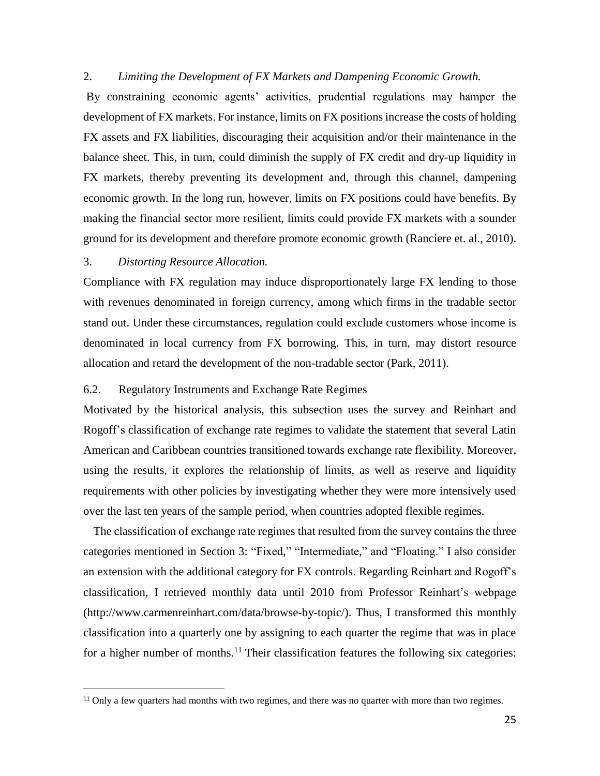## 2. *Limiting the Development of FX Markets and Dampening Economic Growth.*

By constraining economic agents' activities, prudential regulations may hamper the development of FX markets. For instance, limits on FX positions increase the costs of holding FX assets and FX liabilities, discouraging their acquisition and/or their maintenance in the balance sheet. This, in turn, could diminish the supply of FX credit and dry-up liquidity in FX markets, thereby preventing its development and, through this channel, dampening economic growth. In the long run, however, limits on FX positions could have benefits. By making the financial sector more resilient, limits could provide FX markets with a sounder ground for its development and therefore promote economic growth (Ranciere et. al., 2010).

## 3. *Distorting Resource Allocation.*

 $\overline{a}$ 

Compliance with FX regulation may induce disproportionately large FX lending to those with revenues denominated in foreign currency, among which firms in the tradable sector stand out. Under these circumstances, regulation could exclude customers whose income is denominated in local currency from FX borrowing. This, in turn, may distort resource allocation and retard the development of the non-tradable sector (Park, 2011).

## 6.2. Regulatory Instruments and Exchange Rate Regimes

Motivated by the historical analysis, this subsection uses the survey and Reinhart and Rogoff's classification of exchange rate regimes to validate the statement that several Latin American and Caribbean countries transitioned towards exchange rate flexibility. Moreover, using the results, it explores the relationship of limits, as well as reserve and liquidity requirements with other policies by investigating whether they were more intensively used over the last ten years of the sample period, when countries adopted flexible regimes.

The classification of exchange rate regimes that resulted from the survey contains the three categories mentioned in Section 3: "Fixed," "Intermediate," and "Floating." I also consider an extension with the additional category for FX controls. Regarding Reinhart and Rogoff's classification, I retrieved monthly data until 2010 from Professor Reinhart's webpage (http://www.carmenreinhart.com/data/browse-by-topic/). Thus, I transformed this monthly classification into a quarterly one by assigning to each quarter the regime that was in place for a higher number of months.<sup>11</sup> Their classification features the following six categories:

<sup>&</sup>lt;sup>11</sup> Only a few quarters had months with two regimes, and there was no quarter with more than two regimes.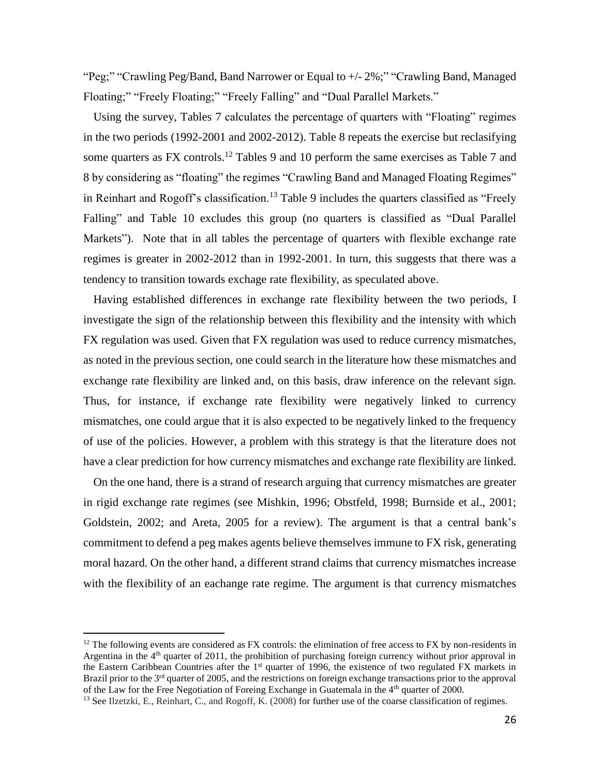"Peg;" "Crawling Peg/Band, Band Narrower or Equal to +/- 2%;" "Crawling Band, Managed Floating;" "Freely Floating;" "Freely Falling" and "Dual Parallel Markets."

Using the survey, Tables 7 calculates the percentage of quarters with "Floating" regimes in the two periods (1992-2001 and 2002-2012). Table 8 repeats the exercise but reclasifying some quarters as FX controls.<sup>12</sup> Tables 9 and 10 perform the same exercises as Table 7 and 8 by considering as "floating" the regimes "Crawling Band and Managed Floating Regimes" in Reinhart and Rogoff's classification.<sup>13</sup> Table 9 includes the quarters classified as "Freely Falling" and Table 10 excludes this group (no quarters is classified as "Dual Parallel Markets"). Note that in all tables the percentage of quarters with flexible exchange rate regimes is greater in 2002-2012 than in 1992-2001. In turn, this suggests that there was a tendency to transition towards exchage rate flexibility, as speculated above.

Having established differences in exchange rate flexibility between the two periods, I investigate the sign of the relationship between this flexibility and the intensity with which FX regulation was used. Given that FX regulation was used to reduce currency mismatches, as noted in the previous section, one could search in the literature how these mismatches and exchange rate flexibility are linked and, on this basis, draw inference on the relevant sign. Thus, for instance, if exchange rate flexibility were negatively linked to currency mismatches, one could argue that it is also expected to be negatively linked to the frequency of use of the policies. However, a problem with this strategy is that the literature does not have a clear prediction for how currency mismatches and exchange rate flexibility are linked.

On the one hand, there is a strand of research arguing that currency mismatches are greater in rigid exchange rate regimes (see Mishkin, 1996; Obstfeld, 1998; Burnside et al., 2001; Goldstein, 2002; and Areta, 2005 for a review). The argument is that a central bank's commitment to defend a peg makes agents believe themselves immune to FX risk, generating moral hazard. On the other hand, a different strand claims that currency mismatches increase with the flexibility of an eachange rate regime. The argument is that currency mismatches

 $\overline{a}$ 

 $12$  The following events are considered as FX controls: the elimination of free access to FX by non-residents in Argentina in the 4<sup>th</sup> quarter of 2011, the prohibition of purchasing foreign currency without prior approval in the Eastern Caribbean Countries after the 1<sup>st</sup> quarter of 1996, the existence of two regulated FX markets in Brazil prior to the 3<sup>rd</sup> quarter of 2005, and the restrictions on foreign exchange transactions prior to the approval of the Law for the Free Negotiation of Foreing Exchange in Guatemala in the 4<sup>th</sup> quarter of 2000.

<sup>&</sup>lt;sup>13</sup> See Ilzetzki, E., Reinhart, C., and Rogoff, K. (2008) for further use of the coarse classification of regimes.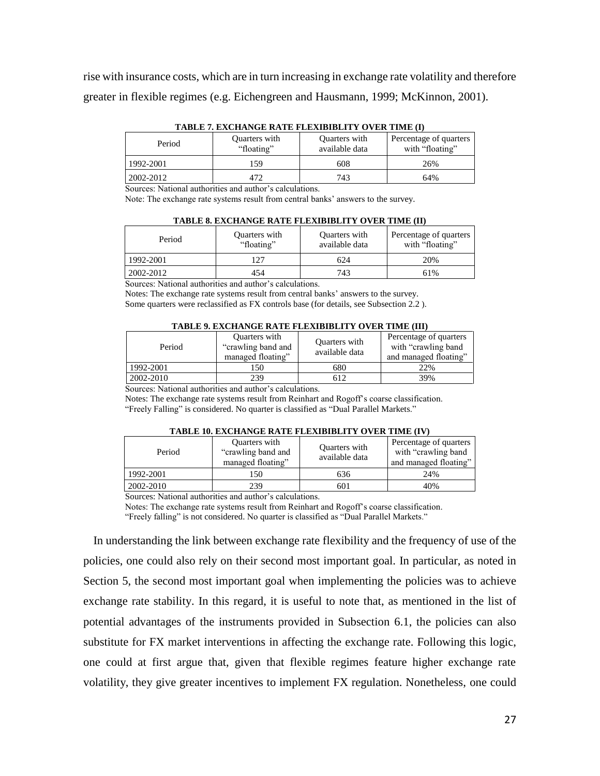rise with insurance costs, which are in turn increasing in exchange rate volatility and therefore greater in flexible regimes (e.g. Eichengreen and Hausmann, 1999; McKinnon, 2001).

| тарыс вихопатое категерировны отек ние чл                |                             |                                 |                                           |  |  |  |  |
|----------------------------------------------------------|-----------------------------|---------------------------------|-------------------------------------------|--|--|--|--|
| Period                                                   | Quarters with<br>"floating" | Quarters with<br>available data | Percentage of quarters<br>with "floating" |  |  |  |  |
| 1992-2001                                                | 159                         | 608                             | 26%                                       |  |  |  |  |
| 2002-2012                                                | 472                         | 743                             | 64%                                       |  |  |  |  |
| Sources: National authorities and author's calculations. |                             |                                 |                                           |  |  |  |  |

**TABLE 7. EXCHANGE RATE FLEXIBIBLITY OVER TIME (I)**

Note: The exchange rate systems result from central banks' answers to the survey.

|  | <b>TABLE 8. EXCHANGE RATE FLEXIBIBLITY OVER TIME (II)</b> |  |
|--|-----------------------------------------------------------|--|
|  |                                                           |  |

| Period    | Quarters with<br>"floating" | Quarters with<br>available data | Percentage of quarters<br>with "floating" |
|-----------|-----------------------------|---------------------------------|-------------------------------------------|
| 1992-2001 | 127                         | 624                             | 20%                                       |
| 2002-2012 | 454                         | 743                             | 61%                                       |

Sources: National authorities and author's calculations.

Notes: The exchange rate systems result from central banks' answers to the survey. Some quarters were reclassified as FX controls base (for details, see Subsection 2.2 ).

| TABLE 9. EXCHANGE RATE FLEXIBIBLITY OVER TIME (III) |  |
|-----------------------------------------------------|--|
|-----------------------------------------------------|--|

| Period                                                                 | Quarters with<br>"crawling band and"<br>managed floating" | Quarters with<br>available data | Percentage of quarters<br>with "crawling band"<br>and managed floating" |  |  |  |
|------------------------------------------------------------------------|-----------------------------------------------------------|---------------------------------|-------------------------------------------------------------------------|--|--|--|
| 1992-2001                                                              | 150                                                       | 680                             | 22%                                                                     |  |  |  |
| 2002-2010                                                              | 239                                                       | 512                             | 39%                                                                     |  |  |  |
| 0 anns an Matianal anthroidise and anthro <sup>2</sup> e salanlations. |                                                           |                                 |                                                                         |  |  |  |

Sources: National authorities and author's calculations.

Notes: The exchange rate systems result from Reinhart and Rogoff's coarse classification. "Freely Falling" is considered. No quarter is classified as "Dual Parallel Markets."

#### **TABLE 10. EXCHANGE RATE FLEXIBIBLITY OVER TIME (IV)**

| Period      | Quarters with<br>"crawling band and"<br>managed floating" | Quarters with<br>available data | Percentage of quarters<br>with "crawling band<br>and managed floating" |  |  |  |  |
|-------------|-----------------------------------------------------------|---------------------------------|------------------------------------------------------------------------|--|--|--|--|
| 1992-2001   | 150                                                       | 636                             | 24%                                                                    |  |  |  |  |
| 2002-2010   | 239                                                       | 601                             | 40%                                                                    |  |  |  |  |
| .<br>$\sim$ | . .<br>.                                                  |                                 |                                                                        |  |  |  |  |

Sources: National authorities and author's calculations.

Notes: The exchange rate systems result from Reinhart and Rogoff's coarse classification. "Freely falling" is not considered. No quarter is classified as "Dual Parallel Markets."

In understanding the link between exchange rate flexibility and the frequency of use of the policies, one could also rely on their second most important goal. In particular, as noted in Section 5, the second most important goal when implementing the policies was to achieve exchange rate stability. In this regard, it is useful to note that, as mentioned in the list of potential advantages of the instruments provided in Subsection 6.1, the policies can also substitute for FX market interventions in affecting the exchange rate. Following this logic, one could at first argue that, given that flexible regimes feature higher exchange rate volatility, they give greater incentives to implement FX regulation. Nonetheless, one could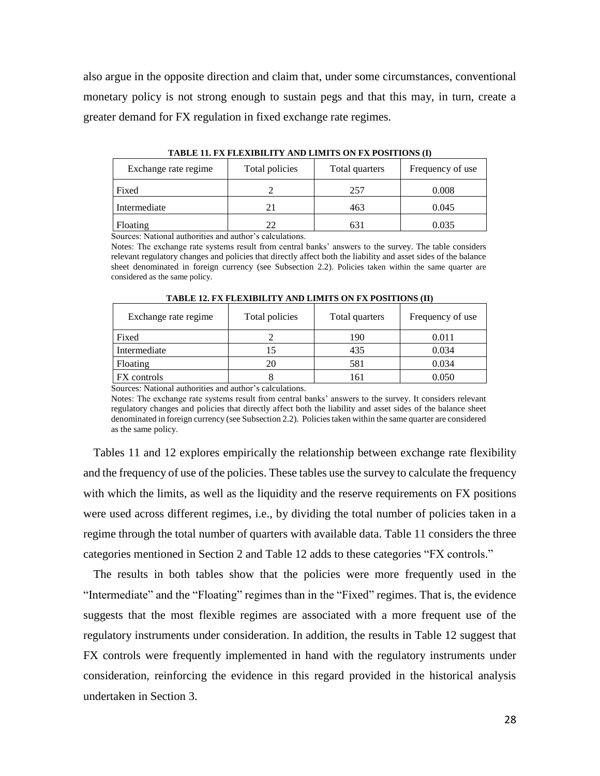also argue in the opposite direction and claim that, under some circumstances, conventional monetary policy is not strong enough to sustain pegs and that this may, in turn, create a greater demand for FX regulation in fixed exchange rate regimes.

| Exchange rate regime | Total policies | Total quarters | Frequency of use |
|----------------------|----------------|----------------|------------------|
| Fixed                |                | 257            | 0.008            |
| Intermediate         |                | 463            | 0.045            |
| Floating             | フフ             | 631            | 0.035            |

**TABLE 11. FX FLEXIBILITY AND LIMITS ON FX POSITIONS (I)**

Sources: National authorities and author's calculations.

Notes: The exchange rate systems result from central banks' answers to the survey. The table considers relevant regulatory changes and policies that directly affect both the liability and asset sides of the balance sheet denominated in foreign currency (see Subsection 2.2). Policies taken within the same quarter are considered as the same policy.

| Exchange rate regime | Total policies | Total quarters | Frequency of use |
|----------------------|----------------|----------------|------------------|
| Fixed                |                | 190            | 0.011            |
| Intermediate         |                | 435            | 0.034            |
| Floating             |                | 581            | 0.034            |
| FX controls          |                | 161            | 0.050            |

**TABLE 12. FX FLEXIBILITY AND LIMITS ON FX POSITIONS (II)**

Sources: National authorities and author's calculations.

Notes: The exchange rate systems result from central banks' answers to the survey. It considers relevant regulatory changes and policies that directly affect both the liability and asset sides of the balance sheet denominated in foreign currency (see Subsection 2.2). Policies taken within the same quarter are considered as the same policy.

Tables 11 and 12 explores empirically the relationship between exchange rate flexibility and the frequency of use of the policies. These tables use the survey to calculate the frequency with which the limits, as well as the liquidity and the reserve requirements on FX positions were used across different regimes, i.e., by dividing the total number of policies taken in a regime through the total number of quarters with available data. Table 11 considers the three categories mentioned in Section 2 and Table 12 adds to these categories "FX controls."

The results in both tables show that the policies were more frequently used in the "Intermediate" and the "Floating" regimes than in the "Fixed" regimes. That is, the evidence suggests that the most flexible regimes are associated with a more frequent use of the regulatory instruments under consideration. In addition, the results in Table 12 suggest that FX controls were frequently implemented in hand with the regulatory instruments under consideration, reinforcing the evidence in this regard provided in the historical analysis undertaken in Section 3.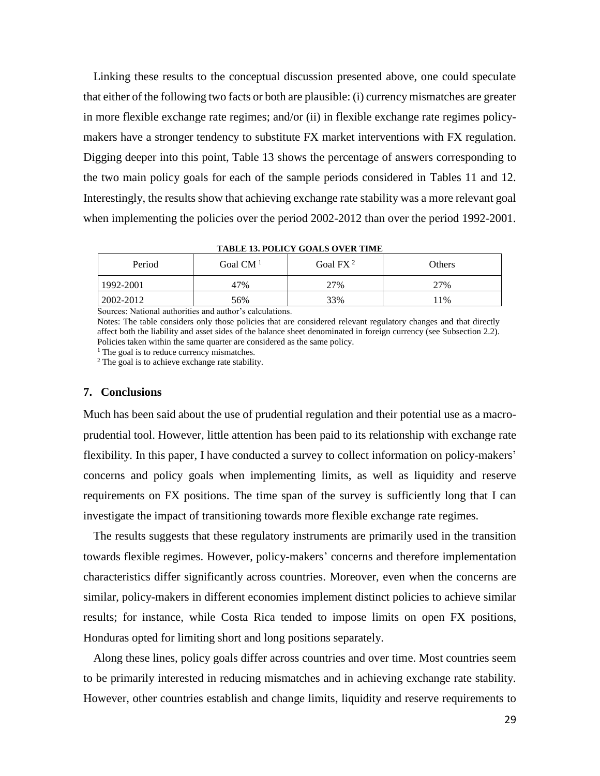Linking these results to the conceptual discussion presented above, one could speculate that either of the following two facts or both are plausible: (i) currency mismatches are greater in more flexible exchange rate regimes; and/or (ii) in flexible exchange rate regimes policymakers have a stronger tendency to substitute FX market interventions with FX regulation. Digging deeper into this point, Table 13 shows the percentage of answers corresponding to the two main policy goals for each of the sample periods considered in Tables 11 and 12. Interestingly, the results show that achieving exchange rate stability was a more relevant goal when implementing the policies over the period 2002-2012 than over the period 1992-2001.

**TABLE 13. POLICY GOALS OVER TIME**

| Period    | Goal $CM1$ | Goal FX <sup>2</sup> | Others |
|-----------|------------|----------------------|--------|
| 1992-2001 | 47%        | 27%                  | 27%    |
| 2002-2012 | 56%        | 33%                  | 11%    |

Sources: National authorities and author's calculations.

Notes: The table considers only those policies that are considered relevant regulatory changes and that directly affect both the liability and asset sides of the balance sheet denominated in foreign currency (see Subsection 2.2). Policies taken within the same quarter are considered as the same policy.

 $<sup>1</sup>$  The goal is to reduce currency mismatches.</sup>

<sup>2</sup> The goal is to achieve exchange rate stability.

#### **7. Conclusions**

Much has been said about the use of prudential regulation and their potential use as a macroprudential tool. However, little attention has been paid to its relationship with exchange rate flexibility. In this paper, I have conducted a survey to collect information on policy-makers' concerns and policy goals when implementing limits, as well as liquidity and reserve requirements on FX positions. The time span of the survey is sufficiently long that I can investigate the impact of transitioning towards more flexible exchange rate regimes.

The results suggests that these regulatory instruments are primarily used in the transition towards flexible regimes. However, policy-makers' concerns and therefore implementation characteristics differ significantly across countries. Moreover, even when the concerns are similar, policy-makers in different economies implement distinct policies to achieve similar results; for instance, while Costa Rica tended to impose limits on open FX positions, Honduras opted for limiting short and long positions separately.

Along these lines, policy goals differ across countries and over time. Most countries seem to be primarily interested in reducing mismatches and in achieving exchange rate stability. However, other countries establish and change limits, liquidity and reserve requirements to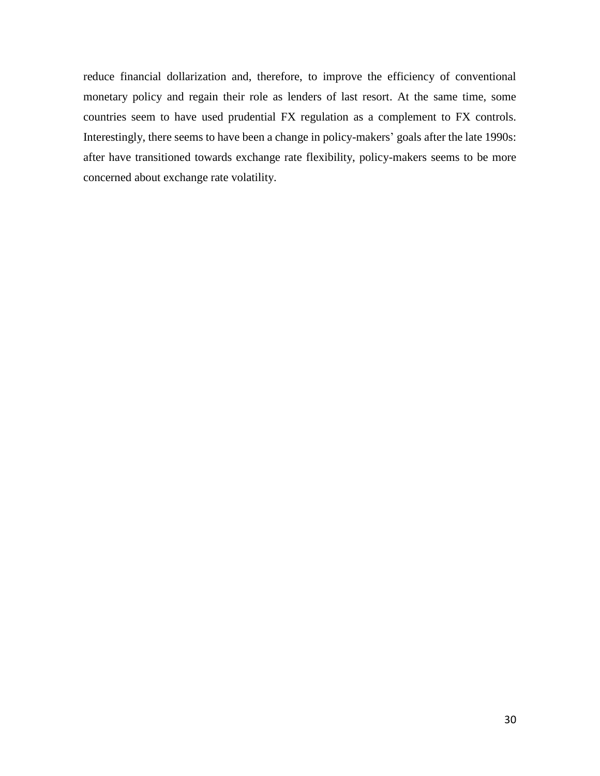reduce financial dollarization and, therefore, to improve the efficiency of conventional monetary policy and regain their role as lenders of last resort. At the same time, some countries seem to have used prudential FX regulation as a complement to FX controls. Interestingly, there seems to have been a change in policy-makers' goals after the late 1990s: after have transitioned towards exchange rate flexibility, policy-makers seems to be more concerned about exchange rate volatility.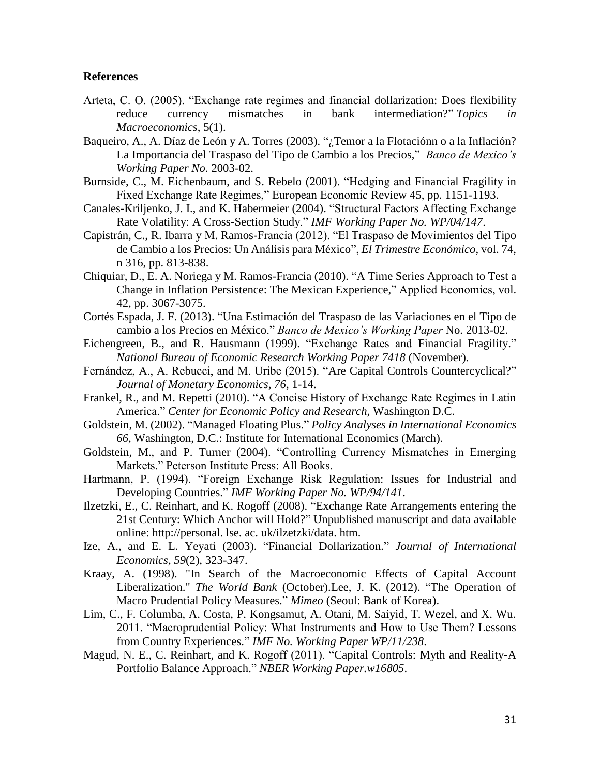## **References**

- Arteta, C. O. (2005). "Exchange rate regimes and financial dollarization: Does flexibility reduce currency mismatches in bank intermediation?" *Topics in Macroeconomics*, 5(1).
- Baqueiro, A., A. Díaz de León y A. Torres (2003). "¿Temor a la Flotaciónn o a la Inflación? La Importancia del Traspaso del Tipo de Cambio a los Precios," *Banco de Mexico's Working Paper No.* 2003-02.
- Burnside, C., M. Eichenbaum, and S. Rebelo (2001). "Hedging and Financial Fragility in Fixed Exchange Rate Regimes," European Economic Review 45, pp. 1151-1193.
- Canales-Kriljenko, J. I., and K. Habermeier (2004). "Structural Factors Affecting Exchange Rate Volatility: A Cross-Section Study." *IMF Working Paper No. WP/04/147*.
- Capistrán, C., R. Ibarra y M. Ramos-Francia (2012). "El Traspaso de Movimientos del Tipo de Cambio a los Precios: Un Análisis para México", *El Trimestre Económico*, vol. 74, n 316, pp. 813-838.
- Chiquiar, D., E. A. Noriega y M. Ramos-Francia (2010). "A Time Series Approach to Test a Change in Inflation Persistence: The Mexican Experience," Applied Economics, vol. 42, pp. 3067-3075.
- Cortés Espada, J. F. (2013). "Una Estimación del Traspaso de las Variaciones en el Tipo de cambio a los Precios en México." *Banco de Mexico's Working Paper* No. 2013-02.
- Eichengreen, B., and R. Hausmann (1999). "Exchange Rates and Financial Fragility." *National Bureau of Economic Research Working Paper 7418* (November).
- Fernández, A., A. Rebucci, and M. Uribe (2015). "Are Capital Controls Countercyclical?" *Journal of Monetary Economics, 76*, 1-14.
- Frankel, R., and M. Repetti (2010). "A Concise History of Exchange Rate Regimes in Latin America." *Center for Economic Policy and Research*, Washington D.C.
- Goldstein, M. (2002). "Managed Floating Plus." *Policy Analyses in International Economics 66*, Washington, D.C.: Institute for International Economics (March).
- Goldstein, M., and P. Turner (2004). "Controlling Currency Mismatches in Emerging Markets." Peterson Institute Press: All Books.
- Hartmann, P. (1994). "Foreign Exchange Risk Regulation: Issues for Industrial and Developing Countries." *IMF Working Paper No. WP/94/141*.
- Ilzetzki, E., C. Reinhart, and K. Rogoff (2008). "Exchange Rate Arrangements entering the 21st Century: Which Anchor will Hold?" Unpublished manuscript and data available online: http://personal. lse. ac. uk/ilzetzki/data. htm.
- Ize, A., and E. L. Yeyati (2003). "Financial Dollarization." *Journal of International Economics, 59*(2), 323-347.
- Kraay, A. (1998). "In Search of the Macroeconomic Effects of Capital Account Liberalization." *The World Bank* (October).Lee, J. K. (2012). "The Operation of Macro Prudential Policy Measures." *Mimeo* (Seoul: Bank of Korea).
- Lim, C., F. Columba, A. Costa, P. Kongsamut, A. Otani, M. Saiyid, T. Wezel, and X. Wu. 2011. "Macroprudential Policy: What Instruments and How to Use Them? Lessons from Country Experiences." *IMF No. Working Paper WP/11/238*.
- Magud, N. E., C. Reinhart, and K. Rogoff (2011). "Capital Controls: Myth and Reality-A Portfolio Balance Approach." *NBER Working Paper.w16805*.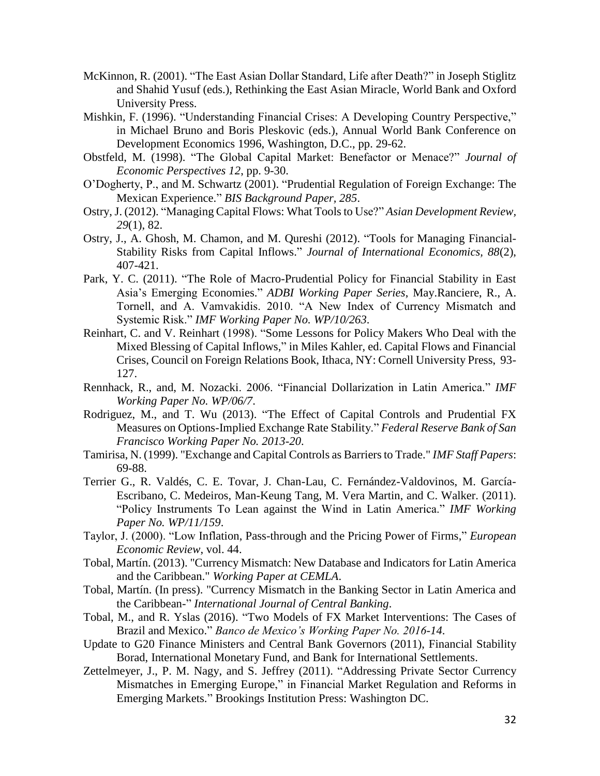- McKinnon, R. (2001). "The East Asian Dollar Standard, Life after Death?" in Joseph Stiglitz and Shahid Yusuf (eds.), Rethinking the East Asian Miracle, World Bank and Oxford University Press.
- Mishkin, F. (1996). "Understanding Financial Crises: A Developing Country Perspective," in Michael Bruno and Boris Pleskovic (eds.), Annual World Bank Conference on Development Economics 1996, Washington, D.C., pp. 29-62.
- Obstfeld, M. (1998). "The Global Capital Market: Benefactor or Menace?" *Journal of Economic Perspectives 12*, pp. 9-30.
- O'Dogherty, P., and M. Schwartz (2001). "Prudential Regulation of Foreign Exchange: The Mexican Experience." *BIS Background Paper, 285*.
- Ostry, J. (2012). "Managing Capital Flows: What Tools to Use?" *Asian Development Review, 29*(1), 82.
- Ostry, J., A. Ghosh, M. Chamon, and M. Qureshi (2012). "Tools for Managing Financial-Stability Risks from Capital Inflows." *Journal of International Economics, 88*(2), 407-421.
- Park, Y. C. (2011). "The Role of Macro-Prudential Policy for Financial Stability in East Asia's Emerging Economies." *ADBI Working Paper Series*, May.Ranciere, R., A. Tornell, and A. Vamvakidis. 2010. "A New Index of Currency Mismatch and Systemic Risk." *IMF Working Paper No. WP/10/263*.
- Reinhart, C. and V. Reinhart (1998). "Some Lessons for Policy Makers Who Deal with the Mixed Blessing of Capital Inflows," in Miles Kahler, ed. Capital Flows and Financial Crises, Council on Foreign Relations Book, Ithaca, NY: Cornell University Press, 93- 127.
- Rennhack, R., and, M. Nozacki. 2006. "Financial Dollarization in Latin America." *IMF Working Paper No. WP/06/7*.
- Rodriguez, M., and T. Wu (2013). "The Effect of Capital Controls and Prudential FX Measures on Options-Implied Exchange Rate Stability." *Federal Reserve Bank of San Francisco Working Paper No. 2013-20*.
- Tamirisa, N. (1999). "Exchange and Capital Controls as Barriers to Trade." *IMF Staff Papers*: 69-88.
- Terrier G., R. Valdés, C. E. Tovar, J. Chan-Lau, C. Fernández-Valdovinos, M. García-Escribano, C. Medeiros, Man-Keung Tang, M. Vera Martin, and C. Walker. (2011). "Policy Instruments To Lean against the Wind in Latin America." *IMF Working Paper No. WP/11/159*.
- Taylor, J. (2000). "Low Inflation, Pass-through and the Pricing Power of Firms," *European Economic Review*, vol. 44.
- Tobal, Martín. (2013). "Currency Mismatch: New Database and Indicators for Latin America and the Caribbean." *Working Paper at CEMLA*.
- Tobal, Martín. (In press). "Currency Mismatch in the Banking Sector in Latin America and the Caribbean-" *International Journal of Central Banking*.
- Tobal, M., and R. Yslas (2016). "Two Models of FX Market Interventions: The Cases of Brazil and Mexico." *Banco de Mexico's Working Paper No. 2016-14*.
- Update to G20 Finance Ministers and Central Bank Governors (2011), Financial Stability Borad, International Monetary Fund, and Bank for International Settlements.
- Zettelmeyer, J., P. M. Nagy, and S. Jeffrey (2011). "Addressing Private Sector Currency Mismatches in Emerging Europe," in Financial Market Regulation and Reforms in Emerging Markets." Brookings Institution Press: Washington DC.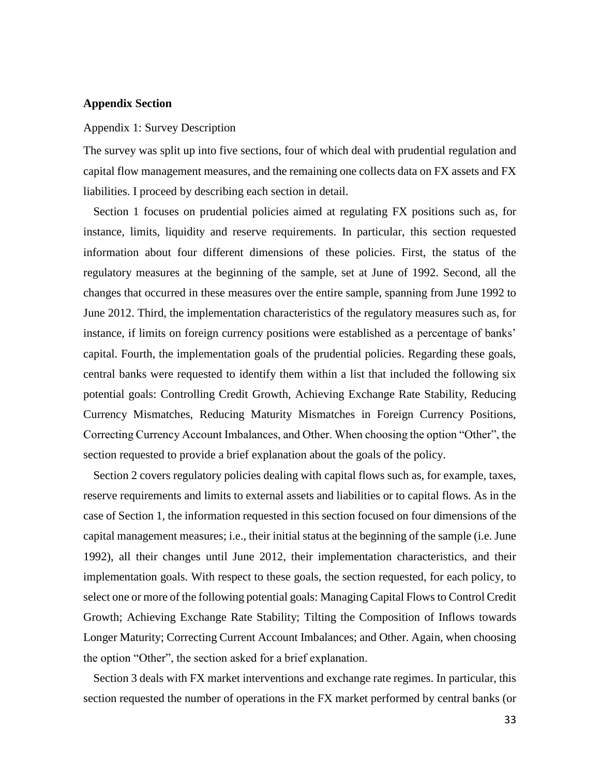## **Appendix Section**

#### Appendix 1: Survey Description

The survey was split up into five sections, four of which deal with prudential regulation and capital flow management measures, and the remaining one collects data on FX assets and FX liabilities. I proceed by describing each section in detail.

Section 1 focuses on prudential policies aimed at regulating FX positions such as, for instance, limits, liquidity and reserve requirements. In particular, this section requested information about four different dimensions of these policies. First, the status of the regulatory measures at the beginning of the sample, set at June of 1992. Second, all the changes that occurred in these measures over the entire sample, spanning from June 1992 to June 2012. Third, the implementation characteristics of the regulatory measures such as, for instance, if limits on foreign currency positions were established as a percentage of banks' capital. Fourth, the implementation goals of the prudential policies. Regarding these goals, central banks were requested to identify them within a list that included the following six potential goals: Controlling Credit Growth, Achieving Exchange Rate Stability, Reducing Currency Mismatches, Reducing Maturity Mismatches in Foreign Currency Positions, Correcting Currency Account Imbalances, and Other. When choosing the option "Other", the section requested to provide a brief explanation about the goals of the policy.

Section 2 covers regulatory policies dealing with capital flows such as, for example, taxes, reserve requirements and limits to external assets and liabilities or to capital flows. As in the case of Section 1, the information requested in this section focused on four dimensions of the capital management measures; i.e., their initial status at the beginning of the sample (i.e. June 1992), all their changes until June 2012, their implementation characteristics, and their implementation goals. With respect to these goals, the section requested, for each policy, to select one or more of the following potential goals: Managing Capital Flows to Control Credit Growth; Achieving Exchange Rate Stability; Tilting the Composition of Inflows towards Longer Maturity; Correcting Current Account Imbalances; and Other. Again, when choosing the option "Other", the section asked for a brief explanation.

Section 3 deals with FX market interventions and exchange rate regimes. In particular, this section requested the number of operations in the FX market performed by central banks (or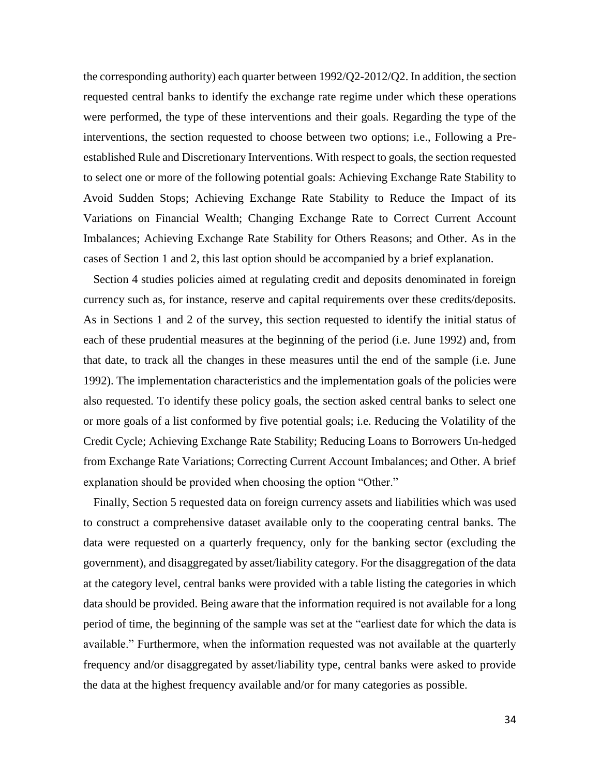the corresponding authority) each quarter between 1992/Q2-2012/Q2. In addition, the section requested central banks to identify the exchange rate regime under which these operations were performed, the type of these interventions and their goals. Regarding the type of the interventions, the section requested to choose between two options; i.e., Following a Preestablished Rule and Discretionary Interventions. With respect to goals, the section requested to select one or more of the following potential goals: Achieving Exchange Rate Stability to Avoid Sudden Stops; Achieving Exchange Rate Stability to Reduce the Impact of its Variations on Financial Wealth; Changing Exchange Rate to Correct Current Account Imbalances; Achieving Exchange Rate Stability for Others Reasons; and Other. As in the cases of Section 1 and 2, this last option should be accompanied by a brief explanation.

Section 4 studies policies aimed at regulating credit and deposits denominated in foreign currency such as, for instance, reserve and capital requirements over these credits/deposits. As in Sections 1 and 2 of the survey, this section requested to identify the initial status of each of these prudential measures at the beginning of the period (i.e. June 1992) and, from that date, to track all the changes in these measures until the end of the sample (i.e. June 1992). The implementation characteristics and the implementation goals of the policies were also requested. To identify these policy goals, the section asked central banks to select one or more goals of a list conformed by five potential goals; i.e. Reducing the Volatility of the Credit Cycle; Achieving Exchange Rate Stability; Reducing Loans to Borrowers Un-hedged from Exchange Rate Variations; Correcting Current Account Imbalances; and Other. A brief explanation should be provided when choosing the option "Other."

Finally, Section 5 requested data on foreign currency assets and liabilities which was used to construct a comprehensive dataset available only to the cooperating central banks. The data were requested on a quarterly frequency, only for the banking sector (excluding the government), and disaggregated by asset/liability category. For the disaggregation of the data at the category level, central banks were provided with a table listing the categories in which data should be provided. Being aware that the information required is not available for a long period of time, the beginning of the sample was set at the "earliest date for which the data is available." Furthermore, when the information requested was not available at the quarterly frequency and/or disaggregated by asset/liability type, central banks were asked to provide the data at the highest frequency available and/or for many categories as possible.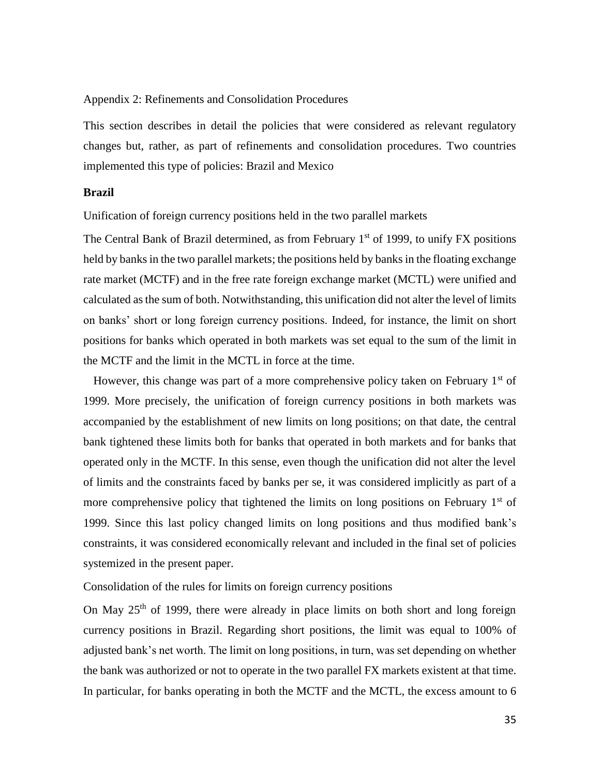## Appendix 2: Refinements and Consolidation Procedures

This section describes in detail the policies that were considered as relevant regulatory changes but, rather, as part of refinements and consolidation procedures. Two countries implemented this type of policies: Brazil and Mexico

#### **Brazil**

Unification of foreign currency positions held in the two parallel markets

The Central Bank of Brazil determined, as from February  $1<sup>st</sup>$  of 1999, to unify FX positions held by banks in the two parallel markets; the positions held by banks in the floating exchange rate market (MCTF) and in the free rate foreign exchange market (MCTL) were unified and calculated as the sum of both. Notwithstanding, this unification did not alter the level of limits on banks' short or long foreign currency positions. Indeed, for instance, the limit on short positions for banks which operated in both markets was set equal to the sum of the limit in the MCTF and the limit in the MCTL in force at the time.

However, this change was part of a more comprehensive policy taken on February  $1<sup>st</sup>$  of 1999. More precisely, the unification of foreign currency positions in both markets was accompanied by the establishment of new limits on long positions; on that date, the central bank tightened these limits both for banks that operated in both markets and for banks that operated only in the MCTF. In this sense, even though the unification did not alter the level of limits and the constraints faced by banks per se, it was considered implicitly as part of a more comprehensive policy that tightened the limits on long positions on February  $1<sup>st</sup>$  of 1999. Since this last policy changed limits on long positions and thus modified bank's constraints, it was considered economically relevant and included in the final set of policies systemized in the present paper.

Consolidation of the rules for limits on foreign currency positions

On May  $25<sup>th</sup>$  of 1999, there were already in place limits on both short and long foreign currency positions in Brazil. Regarding short positions, the limit was equal to 100% of adjusted bank's net worth. The limit on long positions, in turn, was set depending on whether the bank was authorized or not to operate in the two parallel FX markets existent at that time. In particular, for banks operating in both the MCTF and the MCTL, the excess amount to 6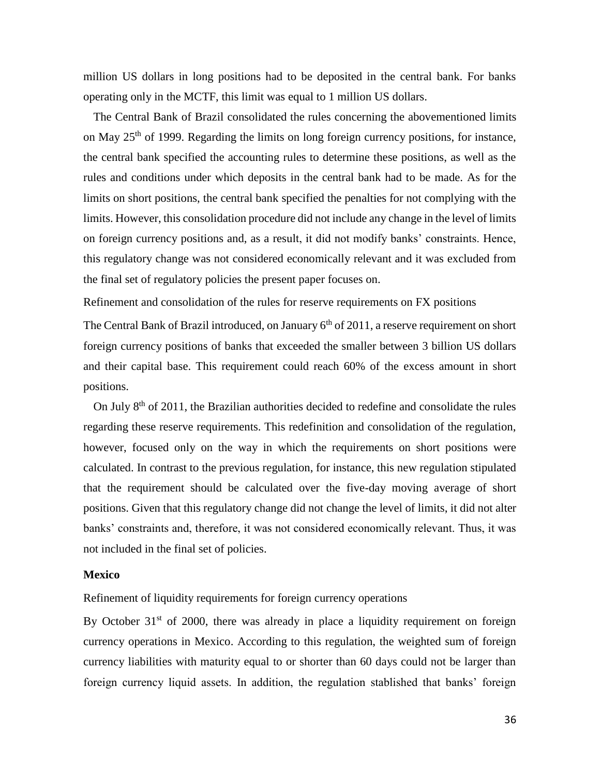million US dollars in long positions had to be deposited in the central bank. For banks operating only in the MCTF, this limit was equal to 1 million US dollars.

The Central Bank of Brazil consolidated the rules concerning the abovementioned limits on May  $25<sup>th</sup>$  of 1999. Regarding the limits on long foreign currency positions, for instance, the central bank specified the accounting rules to determine these positions, as well as the rules and conditions under which deposits in the central bank had to be made. As for the limits on short positions, the central bank specified the penalties for not complying with the limits. However, this consolidation procedure did not include any change in the level of limits on foreign currency positions and, as a result, it did not modify banks' constraints. Hence, this regulatory change was not considered economically relevant and it was excluded from the final set of regulatory policies the present paper focuses on.

Refinement and consolidation of the rules for reserve requirements on FX positions

The Central Bank of Brazil introduced, on January 6<sup>th</sup> of 2011, a reserve requirement on short foreign currency positions of banks that exceeded the smaller between 3 billion US dollars and their capital base. This requirement could reach 60% of the excess amount in short positions.

On July  $8<sup>th</sup>$  of 2011, the Brazilian authorities decided to redefine and consolidate the rules regarding these reserve requirements. This redefinition and consolidation of the regulation, however, focused only on the way in which the requirements on short positions were calculated. In contrast to the previous regulation, for instance, this new regulation stipulated that the requirement should be calculated over the five-day moving average of short positions. Given that this regulatory change did not change the level of limits, it did not alter banks' constraints and, therefore, it was not considered economically relevant. Thus, it was not included in the final set of policies.

#### **Mexico**

Refinement of liquidity requirements for foreign currency operations

By October  $31<sup>st</sup>$  of 2000, there was already in place a liquidity requirement on foreign currency operations in Mexico. According to this regulation, the weighted sum of foreign currency liabilities with maturity equal to or shorter than 60 days could not be larger than foreign currency liquid assets. In addition, the regulation stablished that banks' foreign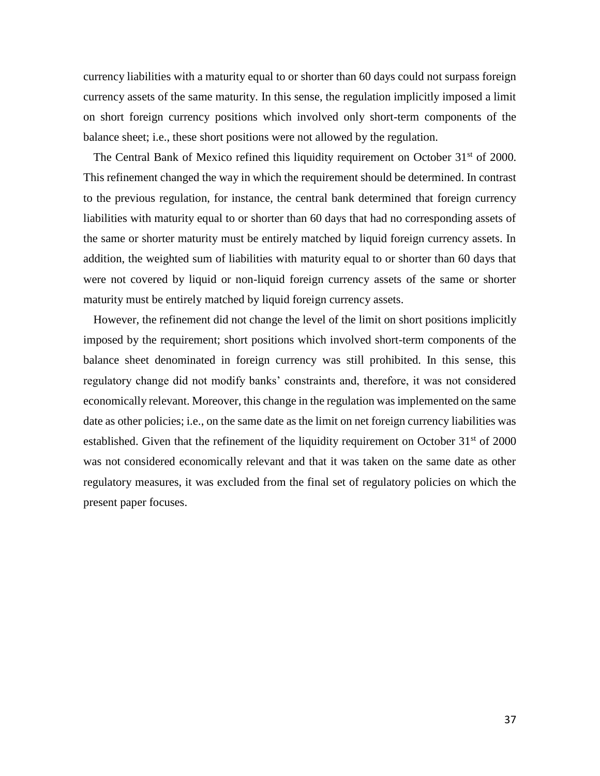currency liabilities with a maturity equal to or shorter than 60 days could not surpass foreign currency assets of the same maturity. In this sense, the regulation implicitly imposed a limit on short foreign currency positions which involved only short-term components of the balance sheet; i.e., these short positions were not allowed by the regulation.

The Central Bank of Mexico refined this liquidity requirement on October 31<sup>st</sup> of 2000. This refinement changed the way in which the requirement should be determined. In contrast to the previous regulation, for instance, the central bank determined that foreign currency liabilities with maturity equal to or shorter than 60 days that had no corresponding assets of the same or shorter maturity must be entirely matched by liquid foreign currency assets. In addition, the weighted sum of liabilities with maturity equal to or shorter than 60 days that were not covered by liquid or non-liquid foreign currency assets of the same or shorter maturity must be entirely matched by liquid foreign currency assets.

However, the refinement did not change the level of the limit on short positions implicitly imposed by the requirement; short positions which involved short-term components of the balance sheet denominated in foreign currency was still prohibited. In this sense, this regulatory change did not modify banks' constraints and, therefore, it was not considered economically relevant. Moreover, this change in the regulation was implemented on the same date as other policies; i.e., on the same date as the limit on net foreign currency liabilities was established. Given that the refinement of the liquidity requirement on October  $31<sup>st</sup>$  of 2000 was not considered economically relevant and that it was taken on the same date as other regulatory measures, it was excluded from the final set of regulatory policies on which the present paper focuses.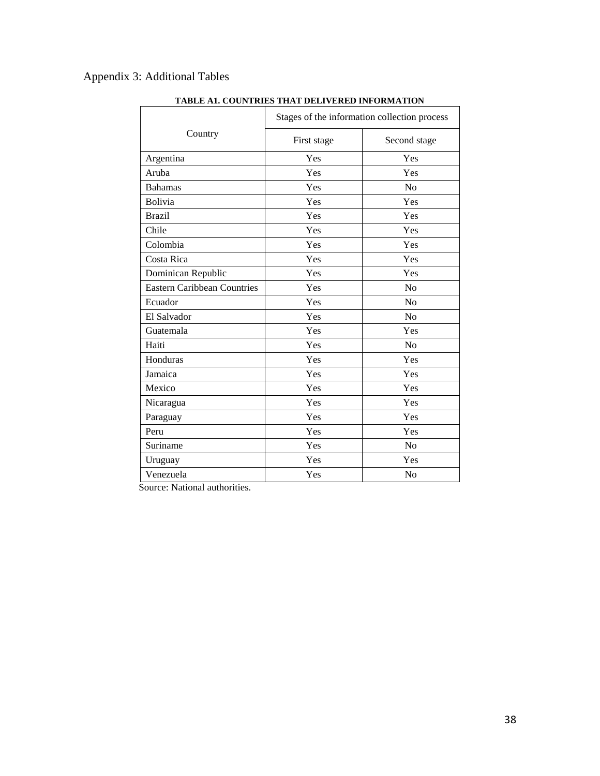# Appendix 3: Additional Tables

|                                    | Stages of the information collection process |              |  |
|------------------------------------|----------------------------------------------|--------------|--|
| Country                            | First stage                                  | Second stage |  |
| Argentina                          | Yes                                          | Yes          |  |
| Aruba                              | Yes                                          | Yes          |  |
| <b>Bahamas</b>                     | Yes                                          | No           |  |
| Bolivia                            | Yes                                          | Yes          |  |
| <b>Brazil</b>                      | Yes                                          | Yes          |  |
| Chile                              | Yes                                          | Yes          |  |
| Colombia                           | Yes                                          | Yes          |  |
| Costa Rica                         | Yes                                          | Yes          |  |
| Dominican Republic                 | Yes                                          | Yes          |  |
| <b>Eastern Caribbean Countries</b> | Yes                                          | No           |  |
| Ecuador                            | Yes                                          | No           |  |
| El Salvador                        | Yes                                          | No           |  |
| Guatemala                          | Yes                                          | Yes          |  |
| Haiti                              | Yes                                          | No           |  |
| Honduras                           | Yes                                          | Yes          |  |
| Jamaica                            | Yes                                          | Yes          |  |
| Mexico                             | Yes                                          | Yes          |  |
| Nicaragua                          | Yes                                          | Yes          |  |
| Paraguay                           | Yes                                          | Yes          |  |
| Peru                               | Yes                                          | Yes          |  |
| Suriname                           | Yes                                          | No           |  |
| Uruguay                            | Yes                                          | Yes          |  |
| Venezuela                          | Yes                                          | No           |  |

## **TABLE A1. COUNTRIES THAT DELIVERED INFORMATION**

Source: National authorities.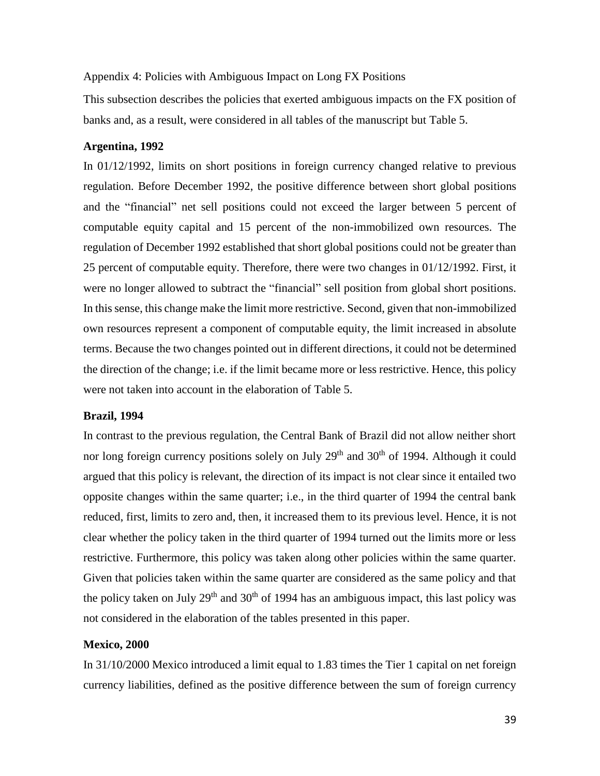## Appendix 4: Policies with Ambiguous Impact on Long FX Positions

This subsection describes the policies that exerted ambiguous impacts on the FX position of banks and, as a result, were considered in all tables of the manuscript but Table 5.

## **Argentina, 1992**

In 01/12/1992, limits on short positions in foreign currency changed relative to previous regulation. Before December 1992, the positive difference between short global positions and the "financial" net sell positions could not exceed the larger between 5 percent of computable equity capital and 15 percent of the non-immobilized own resources. The regulation of December 1992 established that short global positions could not be greater than 25 percent of computable equity. Therefore, there were two changes in 01/12/1992. First, it were no longer allowed to subtract the "financial" sell position from global short positions. In this sense, this change make the limit more restrictive. Second, given that non-immobilized own resources represent a component of computable equity, the limit increased in absolute terms. Because the two changes pointed out in different directions, it could not be determined the direction of the change; i.e. if the limit became more or less restrictive. Hence, this policy were not taken into account in the elaboration of Table 5.

#### **Brazil, 1994**

In contrast to the previous regulation, the Central Bank of Brazil did not allow neither short nor long foreign currency positions solely on July 29<sup>th</sup> and 30<sup>th</sup> of 1994. Although it could argued that this policy is relevant, the direction of its impact is not clear since it entailed two opposite changes within the same quarter; i.e., in the third quarter of 1994 the central bank reduced, first, limits to zero and, then, it increased them to its previous level. Hence, it is not clear whether the policy taken in the third quarter of 1994 turned out the limits more or less restrictive. Furthermore, this policy was taken along other policies within the same quarter. Given that policies taken within the same quarter are considered as the same policy and that the policy taken on July  $29<sup>th</sup>$  and  $30<sup>th</sup>$  of 1994 has an ambiguous impact, this last policy was not considered in the elaboration of the tables presented in this paper.

## **Mexico, 2000**

In 31/10/2000 Mexico introduced a limit equal to 1.83 times the Tier 1 capital on net foreign currency liabilities, defined as the positive difference between the sum of foreign currency